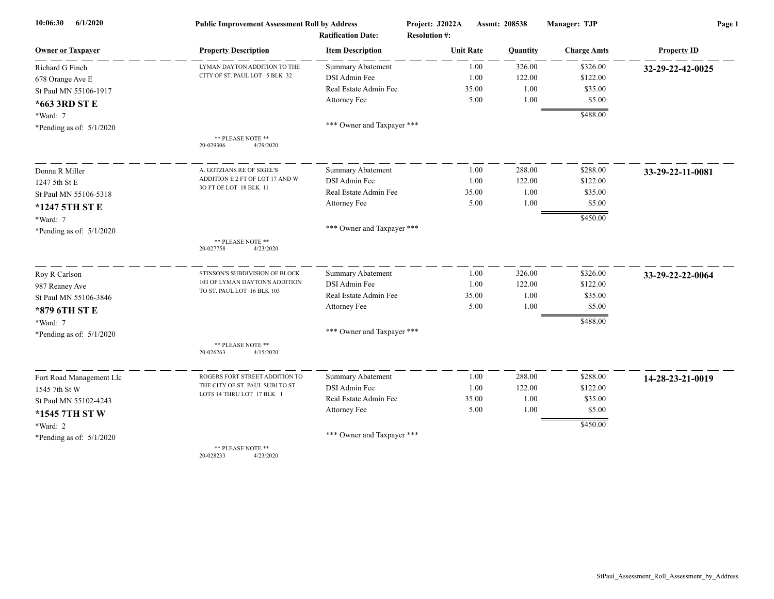| 6/1/2020<br>10:06:30       | <b>Public Improvement Assessment Roll by Address</b>         |                            | Project: J2022A      | Assmt: 208538 |          | Manager: TJP       | Page 1             |  |
|----------------------------|--------------------------------------------------------------|----------------------------|----------------------|---------------|----------|--------------------|--------------------|--|
|                            |                                                              | <b>Ratification Date:</b>  | <b>Resolution #:</b> |               |          |                    |                    |  |
| <b>Owner or Taxpayer</b>   | <b>Property Description</b>                                  | <b>Item Description</b>    | <b>Unit Rate</b>     |               | Quantity | <b>Charge Amts</b> | <b>Property ID</b> |  |
| Richard G Finch            | LYMAN DAYTON ADDITION TO THE                                 | <b>Summary Abatement</b>   |                      | 1.00          | 326.00   | \$326.00           | 32-29-22-42-0025   |  |
| 678 Orange Ave E           | CITY OF ST. PAUL LOT 5 BLK 32                                | DSI Admin Fee              |                      | 1.00          | 122.00   | \$122.00           |                    |  |
| St Paul MN 55106-1917      |                                                              | Real Estate Admin Fee      | 35.00                |               | 1.00     | \$35.00            |                    |  |
| *663 3RD ST E              |                                                              | Attorney Fee               |                      | 5.00          | 1.00     | \$5.00             |                    |  |
| *Ward: 7                   |                                                              |                            |                      |               |          | \$488.00           |                    |  |
| *Pending as of: $5/1/2020$ |                                                              | *** Owner and Taxpayer *** |                      |               |          |                    |                    |  |
|                            | ** PLEASE NOTE **<br>20-029306<br>4/29/2020                  |                            |                      |               |          |                    |                    |  |
| Donna R Miller             | A. GOTZIANS RE OF SIGEL'S                                    | <b>Summary Abatement</b>   |                      | 1.00          | 288.00   | \$288.00           | 33-29-22-11-0081   |  |
| 1247 5th St E              | ADDITION E 2 FT OF LOT 17 AND W                              | DSI Admin Fee              |                      | 1.00          | 122.00   | \$122.00           |                    |  |
| St Paul MN 55106-5318      | 30 FT OF LOT 18 BLK 11                                       | Real Estate Admin Fee      | 35.00                |               | 1.00     | \$35.00            |                    |  |
| *1247 5TH ST E             |                                                              | Attorney Fee               |                      | 5.00          | 1.00     | \$5.00             |                    |  |
| *Ward: 7                   |                                                              |                            |                      |               |          | \$450.00           |                    |  |
| *Pending as of: $5/1/2020$ |                                                              | *** Owner and Taxpayer *** |                      |               |          |                    |                    |  |
|                            | ** PLEASE NOTE **<br>20-027758<br>4/23/2020                  |                            |                      |               |          |                    |                    |  |
| Roy R Carlson              | STINSON'S SUBDIVISION OF BLOCK                               | <b>Summary Abatement</b>   |                      | 1.00          | 326.00   | \$326.00           | 33-29-22-22-0064   |  |
| 987 Reaney Ave             | 103 OF LYMAN DAYTON'S ADDITION<br>TO ST. PAUL LOT 16 BLK 103 | DSI Admin Fee              |                      | 1.00          | 122.00   | \$122.00           |                    |  |
| St Paul MN 55106-3846      |                                                              | Real Estate Admin Fee      | 35.00                |               | 1.00     | \$35.00            |                    |  |
| *879 6TH ST E              |                                                              | Attorney Fee               |                      | 5.00          | 1.00     | \$5.00             |                    |  |
| *Ward: 7                   |                                                              |                            |                      |               |          | \$488.00           |                    |  |
| *Pending as of: $5/1/2020$ |                                                              | *** Owner and Taxpayer *** |                      |               |          |                    |                    |  |
|                            | ** PLEASE NOTE **<br>20-026263<br>4/15/2020                  |                            |                      |               |          |                    |                    |  |
| Fort Road Management Llc   | ROGERS FORT STREET ADDITION TO                               | <b>Summary Abatement</b>   |                      | 1.00          | 288.00   | \$288.00           | 14-28-23-21-0019   |  |
| 1545 7th St W              | THE CITY OF ST. PAUL SUBJ TO ST                              | DSI Admin Fee              |                      | 1.00          | 122.00   | \$122.00           |                    |  |
| St Paul MN 55102-4243      | LOTS 14 THRU LOT 17 BLK 1                                    | Real Estate Admin Fee      | 35.00                |               | 1.00     | \$35.00            |                    |  |
| *1545 7TH ST W             |                                                              | Attorney Fee               |                      | 5.00          | 1.00     | \$5.00             |                    |  |
| *Ward: 2                   |                                                              |                            |                      |               |          | \$450.00           |                    |  |
| *Pending as of: $5/1/2020$ |                                                              | *** Owner and Taxpayer *** |                      |               |          |                    |                    |  |
|                            | ** PLEASE NOTE **                                            |                            |                      |               |          |                    |                    |  |

20-028233 4/23/2020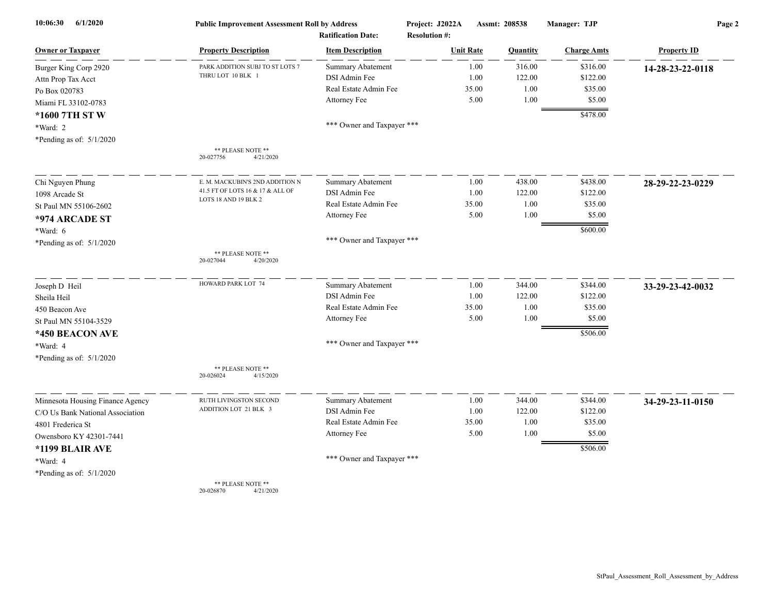| 10:06:30<br>6/1/2020             | <b>Public Improvement Assessment Roll by Address</b><br><b>Ratification Date:</b> |                            | Project: J2022A<br><b>Resolution #:</b> | Assmt: 208538 |          | Manager: TJP       | Page 2             |  |
|----------------------------------|-----------------------------------------------------------------------------------|----------------------------|-----------------------------------------|---------------|----------|--------------------|--------------------|--|
| <b>Owner or Taxpayer</b>         | <b>Property Description</b>                                                       | <b>Item Description</b>    | <b>Unit Rate</b>                        |               | Quantity | <b>Charge Amts</b> | <b>Property ID</b> |  |
| Burger King Corp 2920            | PARK ADDITION SUBJ TO ST LOTS 7                                                   | Summary Abatement          |                                         | 1.00          | 316.00   | \$316.00           | 14-28-23-22-0118   |  |
| Attn Prop Tax Acct               | THRU LOT 10 BLK 1                                                                 | DSI Admin Fee              |                                         | 1.00          | 122.00   | \$122.00           |                    |  |
| Po Box 020783                    |                                                                                   | Real Estate Admin Fee      |                                         | 35.00         | 1.00     | \$35.00            |                    |  |
| Miami FL 33102-0783              |                                                                                   | Attorney Fee               |                                         | 5.00          | 1.00     | \$5.00             |                    |  |
| *1600 7TH ST W                   |                                                                                   |                            |                                         |               |          | \$478.00           |                    |  |
| *Ward: 2                         |                                                                                   | *** Owner and Taxpayer *** |                                         |               |          |                    |                    |  |
| *Pending as of: $5/1/2020$       |                                                                                   |                            |                                         |               |          |                    |                    |  |
|                                  | ** PLEASE NOTE **<br>4/21/2020<br>20-027756                                       |                            |                                         |               |          |                    |                    |  |
| Chi Nguyen Phung                 | E. M. MACKUBIN'S 2ND ADDITION N                                                   | <b>Summary Abatement</b>   |                                         | 1.00          | 438.00   | \$438.00           | 28-29-22-23-0229   |  |
| 1098 Arcade St                   | 41.5 FT OF LOTS 16 & 17 & ALL OF                                                  | DSI Admin Fee              |                                         | 1.00          | 122.00   | \$122.00           |                    |  |
| St Paul MN 55106-2602            | LOTS 18 AND 19 BLK 2                                                              | Real Estate Admin Fee      |                                         | 35.00         | 1.00     | \$35.00            |                    |  |
| *974 ARCADE ST                   |                                                                                   | Attorney Fee               |                                         | 5.00          | 1.00     | \$5.00             |                    |  |
| *Ward: 6                         |                                                                                   |                            |                                         |               |          | \$600.00           |                    |  |
| *Pending as of: $5/1/2020$       |                                                                                   | *** Owner and Taxpayer *** |                                         |               |          |                    |                    |  |
|                                  | ** PLEASE NOTE **<br>4/20/2020<br>20-027044                                       |                            |                                         |               |          |                    |                    |  |
| Joseph D Heil                    | HOWARD PARK LOT 74                                                                | Summary Abatement          |                                         | 1.00          | 344.00   | \$344.00           | 33-29-23-42-0032   |  |
| Sheila Heil                      |                                                                                   | DSI Admin Fee              |                                         | 1.00          | 122.00   | \$122.00           |                    |  |
| 450 Beacon Ave                   |                                                                                   | Real Estate Admin Fee      |                                         | 35.00         | 1.00     | \$35.00            |                    |  |
| St Paul MN 55104-3529            |                                                                                   | Attorney Fee               |                                         | 5.00          | 1.00     | \$5.00             |                    |  |
| *450 BEACON AVE                  |                                                                                   |                            |                                         |               |          | \$506.00           |                    |  |
| *Ward: 4                         |                                                                                   | *** Owner and Taxpayer *** |                                         |               |          |                    |                    |  |
| *Pending as of: $5/1/2020$       |                                                                                   |                            |                                         |               |          |                    |                    |  |
|                                  | ** PLEASE NOTE **<br>20-026024<br>4/15/2020                                       |                            |                                         |               |          |                    |                    |  |
| Minnesota Housing Finance Agency | RUTH LIVINGSTON SECOND                                                            | Summary Abatement          |                                         | 1.00          | 344.00   | \$344.00           | 34-29-23-11-0150   |  |
| C/O Us Bank National Association | ADDITION LOT 21 BLK 3                                                             | DSI Admin Fee              |                                         | 1.00          | 122.00   | \$122.00           |                    |  |
| 4801 Frederica St                |                                                                                   | Real Estate Admin Fee      |                                         | 35.00         | 1.00     | \$35.00            |                    |  |
| Owensboro KY 42301-7441          |                                                                                   | Attorney Fee               |                                         | 5.00          | 1.00     | \$5.00             |                    |  |
| *1199 BLAIR AVE                  |                                                                                   |                            |                                         |               |          | \$506.00           |                    |  |
| *Ward: 4                         |                                                                                   | *** Owner and Taxpayer *** |                                         |               |          |                    |                    |  |
| *Pending as of: $5/1/2020$       |                                                                                   |                            |                                         |               |          |                    |                    |  |
|                                  | ** PLEASE NOTE **                                                                 |                            |                                         |               |          |                    |                    |  |

20-026870 4/21/2020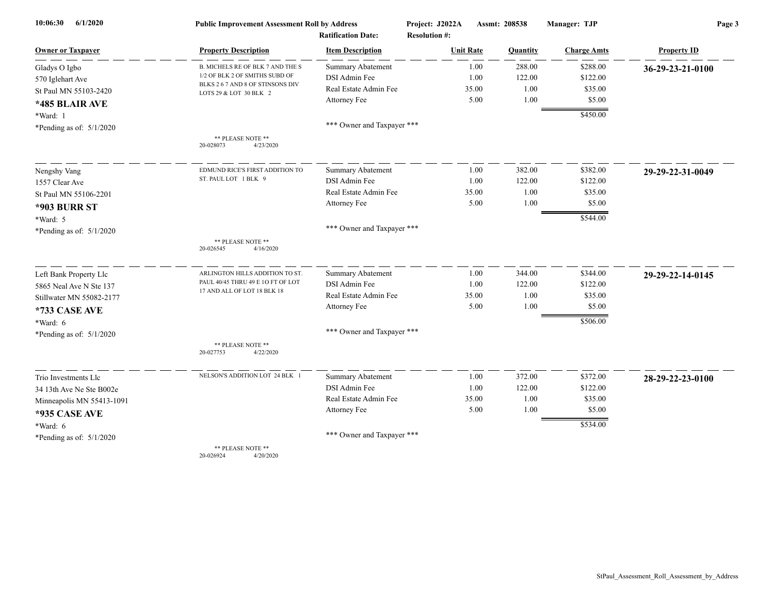| 6/1/2020<br>10:06:30       | <b>Public Improvement Assessment Roll by Address</b>       |                            | Project: J2022A      |       | Assmt: 208538 | Manager: TJP       | Page 3             |  |
|----------------------------|------------------------------------------------------------|----------------------------|----------------------|-------|---------------|--------------------|--------------------|--|
|                            |                                                            | <b>Ratification Date:</b>  | <b>Resolution #:</b> |       |               |                    |                    |  |
| <b>Owner or Taxpayer</b>   | <b>Property Description</b>                                | <b>Item Description</b>    | <b>Unit Rate</b>     |       | Quantity      | <b>Charge Amts</b> | <b>Property ID</b> |  |
| Gladys O Igbo              | B. MICHELS RE OF BLK 7 AND THE S                           | <b>Summary Abatement</b>   |                      | 1.00  | 288.00        | \$288.00           | 36-29-23-21-0100   |  |
| 570 Iglehart Ave           | 1/2 OF BLK 2 OF SMITHS SUBD OF                             | DSI Admin Fee              |                      | 1.00  | 122.00        | \$122.00           |                    |  |
| St Paul MN 55103-2420      | BLKS 2 6 7 AND 8 OF STINSONS DIV<br>LOTS 29 & LOT 30 BLK 2 | Real Estate Admin Fee      |                      | 35.00 | 1.00          | \$35.00            |                    |  |
| *485 BLAIR AVE             |                                                            | Attorney Fee               |                      | 5.00  | 1.00          | \$5.00             |                    |  |
| *Ward: 1                   |                                                            |                            |                      |       |               | \$450.00           |                    |  |
| *Pending as of: $5/1/2020$ |                                                            | *** Owner and Taxpayer *** |                      |       |               |                    |                    |  |
|                            | ** PLEASE NOTE **<br>4/23/2020<br>20-028073                |                            |                      |       |               |                    |                    |  |
| Nengshy Vang               | EDMUND RICE'S FIRST ADDITION TO                            | Summary Abatement          |                      | 1.00  | 382.00        | \$382.00           | 29-29-22-31-0049   |  |
| 1557 Clear Ave             | ST. PAUL LOT 1 BLK 9                                       | DSI Admin Fee              |                      | 1.00  | 122.00        | \$122.00           |                    |  |
| St Paul MN 55106-2201      |                                                            | Real Estate Admin Fee      |                      | 35.00 | 1.00          | \$35.00            |                    |  |
| <b>*903 BURR ST</b>        |                                                            | Attorney Fee               |                      | 5.00  | 1.00          | \$5.00             |                    |  |
| *Ward: 5                   |                                                            |                            |                      |       |               | \$544.00           |                    |  |
|                            |                                                            | *** Owner and Taxpayer *** |                      |       |               |                    |                    |  |
| *Pending as of: $5/1/2020$ | ** PLEASE NOTE **<br>20-026545<br>4/16/2020                |                            |                      |       |               |                    |                    |  |
| Left Bank Property Llc     | ARLINGTON HILLS ADDITION TO ST.                            | <b>Summary Abatement</b>   |                      | 1.00  | 344.00        | \$344.00           | 29-29-22-14-0145   |  |
| 5865 Neal Ave N Ste 137    | PAUL 40/45 THRU 49 E 1O FT OF LOT                          | DSI Admin Fee              |                      | 1.00  | 122.00        | \$122.00           |                    |  |
| Stillwater MN 55082-2177   | 17 AND ALL OF LOT 18 BLK 18                                | Real Estate Admin Fee      |                      | 35.00 | 1.00          | \$35.00            |                    |  |
| *733 CASE AVE              |                                                            | Attorney Fee               |                      | 5.00  | 1.00          | \$5.00             |                    |  |
| $*Ward: 6$                 |                                                            |                            |                      |       |               | \$506.00           |                    |  |
| *Pending as of: $5/1/2020$ |                                                            | *** Owner and Taxpayer *** |                      |       |               |                    |                    |  |
|                            | ** PLEASE NOTE **<br>20-027753<br>4/22/2020                |                            |                      |       |               |                    |                    |  |
| Trio Investments Llc       | NELSON'S ADDITION LOT 24 BLK 1                             | <b>Summary Abatement</b>   |                      | 1.00  | 372.00        | \$372.00           | 28-29-22-23-0100   |  |
| 34 13th Ave Ne Ste B002e   |                                                            | DSI Admin Fee              |                      | 1.00  | 122.00        | \$122.00           |                    |  |
| Minneapolis MN 55413-1091  |                                                            | Real Estate Admin Fee      |                      | 35.00 | 1.00          | \$35.00            |                    |  |
| <b>*935 CASE AVE</b>       |                                                            | Attorney Fee               |                      | 5.00  | 1.00          | \$5.00             |                    |  |
| $*Ward: 6$                 |                                                            |                            |                      |       |               | \$534.00           |                    |  |
| *Pending as of: $5/1/2020$ |                                                            | *** Owner and Taxpayer *** |                      |       |               |                    |                    |  |
|                            | ** PLEASE NOTE **<br>20-026924<br>4/20/2020                |                            |                      |       |               |                    |                    |  |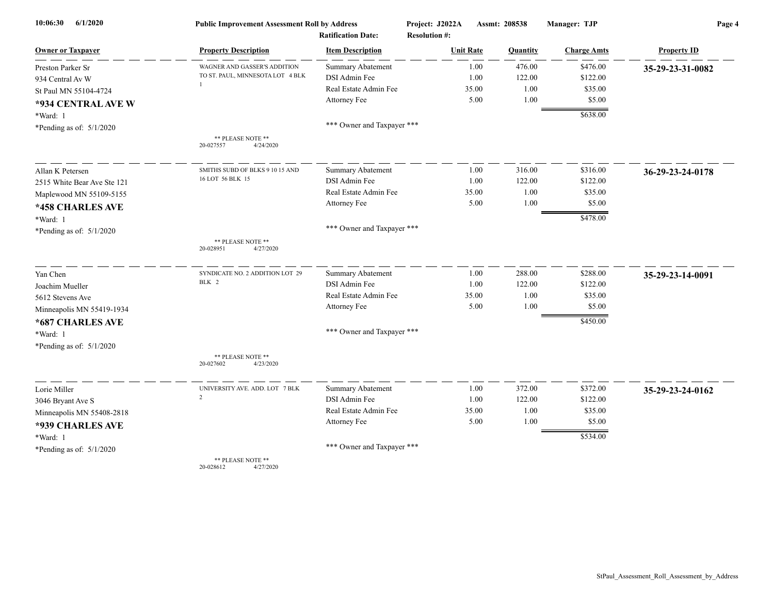| 6/1/2020<br>10:06:30        | <b>Public Improvement Assessment Roll by Address</b> |                                                      | Project: J2022A<br>Assmt: 208538<br><b>Resolution #:</b> |          | Manager: TJP       | Page 4             |  |
|-----------------------------|------------------------------------------------------|------------------------------------------------------|----------------------------------------------------------|----------|--------------------|--------------------|--|
| <b>Owner or Taxpayer</b>    | <b>Property Description</b>                          | <b>Ratification Date:</b><br><b>Item Description</b> | <b>Unit Rate</b>                                         | Quantity | <b>Charge Amts</b> | <b>Property ID</b> |  |
| Preston Parker Sr           | WAGNER AND GASSER'S ADDITION                         | <b>Summary Abatement</b>                             | 1.00                                                     | 476.00   | \$476.00           | 35-29-23-31-0082   |  |
| 934 Central Av W            | TO ST. PAUL, MINNESOTA LOT 4 BLK                     | DSI Admin Fee                                        | 1.00                                                     | 122.00   | \$122.00           |                    |  |
| St Paul MN 55104-4724       |                                                      | Real Estate Admin Fee                                | 35.00                                                    | 1.00     | \$35.00            |                    |  |
| *934 CENTRAL AVE W          |                                                      | Attorney Fee                                         | 5.00                                                     | 1.00     | \$5.00             |                    |  |
| *Ward: 1                    |                                                      |                                                      |                                                          |          | \$638.00           |                    |  |
| *Pending as of: $5/1/2020$  |                                                      | *** Owner and Taxpayer ***                           |                                                          |          |                    |                    |  |
|                             | ** PLEASE NOTE **<br>20-027557<br>4/24/2020          |                                                      |                                                          |          |                    |                    |  |
| Allan K Petersen            | SMITHS SUBD OF BLKS 9 10 15 AND                      | <b>Summary Abatement</b>                             | 1.00                                                     | 316.00   | \$316.00           | 36-29-23-24-0178   |  |
| 2515 White Bear Ave Ste 121 | 16 LOT 56 BLK 15                                     | DSI Admin Fee                                        | 1.00                                                     | 122.00   | \$122.00           |                    |  |
| Maplewood MN 55109-5155     |                                                      | Real Estate Admin Fee                                | 35.00                                                    | 1.00     | \$35.00            |                    |  |
| *458 CHARLES AVE            |                                                      | <b>Attorney Fee</b>                                  | 5.00                                                     | 1.00     | \$5.00             |                    |  |
| *Ward: 1                    |                                                      |                                                      |                                                          |          | \$478.00           |                    |  |
| *Pending as of: $5/1/2020$  |                                                      | *** Owner and Taxpayer ***                           |                                                          |          |                    |                    |  |
|                             | ** PLEASE NOTE **<br>20-028951<br>4/27/2020          |                                                      |                                                          |          |                    |                    |  |
| Yan Chen                    | SYNDICATE NO. 2 ADDITION LOT 29                      | <b>Summary Abatement</b>                             | 1.00                                                     | 288.00   | \$288.00           | 35-29-23-14-0091   |  |
| Joachim Mueller             | BLK 2                                                | DSI Admin Fee                                        | 1.00                                                     | 122.00   | \$122.00           |                    |  |
| 5612 Stevens Ave            |                                                      | Real Estate Admin Fee                                | 35.00                                                    | 1.00     | \$35.00            |                    |  |
| Minneapolis MN 55419-1934   |                                                      | <b>Attorney Fee</b>                                  | 5.00                                                     | 1.00     | \$5.00             |                    |  |
| *687 CHARLES AVE            |                                                      |                                                      |                                                          |          | \$450.00           |                    |  |
| *Ward: 1                    |                                                      | *** Owner and Taxpayer ***                           |                                                          |          |                    |                    |  |
| *Pending as of: $5/1/2020$  |                                                      |                                                      |                                                          |          |                    |                    |  |
|                             | ** PLEASE NOTE **<br>20-027602<br>4/23/2020          |                                                      |                                                          |          |                    |                    |  |
| Lorie Miller                | UNIVERSITY AVE. ADD. LOT 7 BLK                       | <b>Summary Abatement</b>                             | 1.00                                                     | 372.00   | \$372.00           | 35-29-23-24-0162   |  |
| 3046 Bryant Ave S           | 2                                                    | DSI Admin Fee                                        | 1.00                                                     | 122.00   | \$122.00           |                    |  |
| Minneapolis MN 55408-2818   |                                                      | Real Estate Admin Fee                                | 35.00                                                    | 1.00     | \$35.00            |                    |  |
| *939 CHARLES AVE            |                                                      | <b>Attorney Fee</b>                                  | 5.00                                                     | 1.00     | \$5.00             |                    |  |
| *Ward: 1                    |                                                      |                                                      |                                                          |          | \$534.00           |                    |  |
| *Pending as of: $5/1/2020$  |                                                      | *** Owner and Taxpayer ***                           |                                                          |          |                    |                    |  |
|                             | ** PLEASE NOTE **<br>20-028612<br>4/27/2020          |                                                      |                                                          |          |                    |                    |  |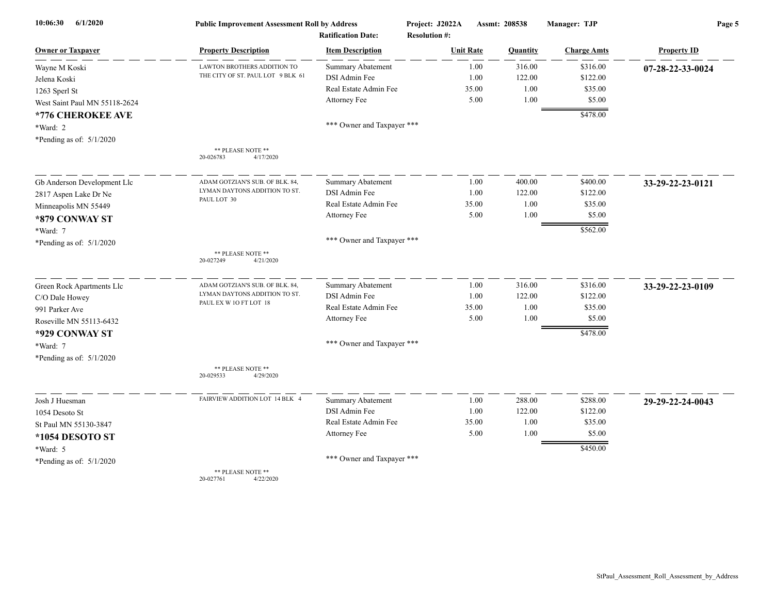| 10:06:30<br>6/1/2020          | <b>Public Improvement Assessment Roll by Address</b><br><b>Ratification Date:</b> |                            | Project: J2022A<br><b>Resolution #:</b> | Assmt: 208538 |          | Manager: TJP       | Page 5             |  |
|-------------------------------|-----------------------------------------------------------------------------------|----------------------------|-----------------------------------------|---------------|----------|--------------------|--------------------|--|
| <u>Owner or Taxpayer</u>      | <b>Property Description</b>                                                       | <b>Item Description</b>    | <b>Unit Rate</b>                        |               | Quantity | <b>Charge Amts</b> | <b>Property ID</b> |  |
| Wayne M Koski                 | LAWTON BROTHERS ADDITION TO                                                       | <b>Summary Abatement</b>   |                                         | 1.00          | 316.00   | \$316.00           | 07-28-22-33-0024   |  |
| Jelena Koski                  | THE CITY OF ST. PAUL LOT 9 BLK 61                                                 | DSI Admin Fee              |                                         | 1.00          | 122.00   | \$122.00           |                    |  |
| 1263 Sperl St                 |                                                                                   | Real Estate Admin Fee      |                                         | 35.00         | 1.00     | \$35.00            |                    |  |
| West Saint Paul MN 55118-2624 |                                                                                   | Attorney Fee               |                                         | 5.00          | 1.00     | \$5.00             |                    |  |
| *776 CHEROKEE AVE             |                                                                                   |                            |                                         |               |          | \$478.00           |                    |  |
| *Ward: 2                      |                                                                                   | *** Owner and Taxpayer *** |                                         |               |          |                    |                    |  |
| *Pending as of: $5/1/2020$    |                                                                                   |                            |                                         |               |          |                    |                    |  |
|                               | ** PLEASE NOTE **<br>4/17/2020<br>20-026783                                       |                            |                                         |               |          |                    |                    |  |
| Gb Anderson Development Llc   | ADAM GOTZIAN'S SUB. OF BLK. 84,                                                   | Summary Abatement          |                                         | 1.00          | 400.00   | \$400.00           | 33-29-22-23-0121   |  |
| 2817 Aspen Lake Dr Ne         | LYMAN DAYTONS ADDITION TO ST.                                                     | DSI Admin Fee              |                                         | 1.00          | 122.00   | \$122.00           |                    |  |
| Minneapolis MN 55449          | PAUL LOT 30                                                                       | Real Estate Admin Fee      | 35.00                                   |               | 1.00     | \$35.00            |                    |  |
| *879 CONWAY ST                |                                                                                   | Attorney Fee               |                                         | 5.00          | 1.00     | \$5.00             |                    |  |
| *Ward: 7                      |                                                                                   |                            |                                         |               |          | \$562.00           |                    |  |
| *Pending as of: $5/1/2020$    |                                                                                   | *** Owner and Taxpayer *** |                                         |               |          |                    |                    |  |
|                               | ** PLEASE NOTE **<br>20-027249<br>4/21/2020                                       |                            |                                         |               |          |                    |                    |  |
| Green Rock Apartments Llc     | ADAM GOTZIAN'S SUB. OF BLK. 84,                                                   | Summary Abatement          |                                         | 1.00          | 316.00   | \$316.00           | 33-29-22-23-0109   |  |
| C/O Dale Howey                | LYMAN DAYTONS ADDITION TO ST.                                                     | DSI Admin Fee              |                                         | 1.00          | 122.00   | \$122.00           |                    |  |
| 991 Parker Ave                | PAUL EX W 1O FT LOT 18                                                            | Real Estate Admin Fee      | 35.00                                   |               | 1.00     | \$35.00            |                    |  |
| Roseville MN 55113-6432       |                                                                                   | Attorney Fee               |                                         | 5.00          | 1.00     | \$5.00             |                    |  |
| *929 CONWAY ST                |                                                                                   |                            |                                         |               |          | \$478.00           |                    |  |
| *Ward: 7                      |                                                                                   | *** Owner and Taxpayer *** |                                         |               |          |                    |                    |  |
| *Pending as of: 5/1/2020      |                                                                                   |                            |                                         |               |          |                    |                    |  |
|                               | ** PLEASE NOTE **<br>20-029533<br>4/29/2020                                       |                            |                                         |               |          |                    |                    |  |
| Josh J Huesman                | FAIRVIEW ADDITION LOT 14 BLK 4                                                    | <b>Summary Abatement</b>   |                                         | 1.00          | 288.00   | \$288.00           | 29-29-22-24-0043   |  |
| 1054 Desoto St                |                                                                                   | DSI Admin Fee              |                                         | 1.00          | 122.00   | \$122.00           |                    |  |
| St Paul MN 55130-3847         |                                                                                   | Real Estate Admin Fee      | 35.00                                   |               | 1.00     | \$35.00            |                    |  |
| *1054 DESOTO ST               |                                                                                   | Attorney Fee               |                                         | 5.00          | 1.00     | \$5.00             |                    |  |
| *Ward: 5                      |                                                                                   |                            |                                         |               |          | \$450.00           |                    |  |
| *Pending as of: 5/1/2020      |                                                                                   | *** Owner and Taxpayer *** |                                         |               |          |                    |                    |  |
|                               | ** PLEASE NOTE **                                                                 |                            |                                         |               |          |                    |                    |  |

20-027761 4/22/2020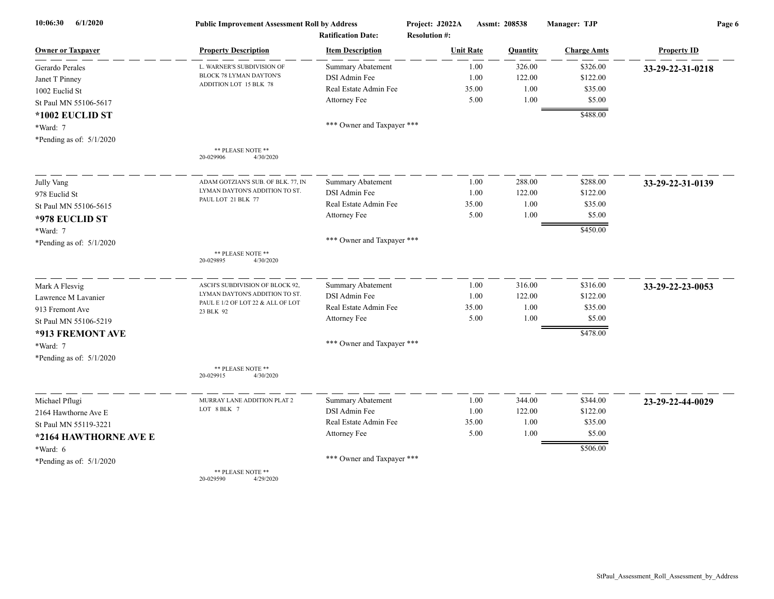| 6/1/2020<br>10:06:30       | <b>Public Improvement Assessment Roll by Address</b> |                                                      | Project: J2022A                          | Assmt: 208538 |          | Manager: TJP       | Page 6             |  |
|----------------------------|------------------------------------------------------|------------------------------------------------------|------------------------------------------|---------------|----------|--------------------|--------------------|--|
| <b>Owner or Taxpayer</b>   | <b>Property Description</b>                          | <b>Ratification Date:</b><br><b>Item Description</b> | <b>Resolution #:</b><br><b>Unit Rate</b> |               | Quantity | <b>Charge Amts</b> | <b>Property ID</b> |  |
|                            | L. WARNER'S SUBDIVISION OF                           | <b>Summary Abatement</b>                             |                                          | 1.00          | 326.00   | \$326.00           |                    |  |
| Gerardo Perales            | BLOCK 78 LYMAN DAYTON'S                              | DSI Admin Fee                                        |                                          | 1.00          | 122.00   | \$122.00           | 33-29-22-31-0218   |  |
| Janet T Pinney             | ADDITION LOT 15 BLK 78                               | Real Estate Admin Fee                                | 35.00                                    |               | 1.00     | \$35.00            |                    |  |
| 1002 Euclid St             |                                                      | Attorney Fee                                         |                                          | 5.00          | 1.00     | \$5.00             |                    |  |
| St Paul MN 55106-5617      |                                                      |                                                      |                                          |               |          |                    |                    |  |
| *1002 EUCLID ST            |                                                      | *** Owner and Taxpayer ***                           |                                          |               |          | \$488.00           |                    |  |
| *Ward: 7                   |                                                      |                                                      |                                          |               |          |                    |                    |  |
| *Pending as of: $5/1/2020$ |                                                      |                                                      |                                          |               |          |                    |                    |  |
|                            | ** PLEASE NOTE **<br>4/30/2020<br>20-029906          |                                                      |                                          |               |          |                    |                    |  |
| Jully Vang                 | ADAM GOTZIAN'S SUB. OF BLK. 77, IN                   | Summary Abatement                                    |                                          | 1.00          | 288.00   | \$288.00           | 33-29-22-31-0139   |  |
| 978 Euclid St              | LYMAN DAYTON'S ADDITION TO ST.                       | DSI Admin Fee                                        |                                          | 1.00          | 122.00   | \$122.00           |                    |  |
| St Paul MN 55106-5615      | PAUL LOT 21 BLK 77                                   | Real Estate Admin Fee                                | 35.00                                    |               | 1.00     | \$35.00            |                    |  |
| *978 EUCLID ST             |                                                      | Attorney Fee                                         |                                          | 5.00          | 1.00     | \$5.00             |                    |  |
| *Ward: 7                   |                                                      |                                                      |                                          |               |          | \$450.00           |                    |  |
| *Pending as of: 5/1/2020   |                                                      | *** Owner and Taxpayer ***                           |                                          |               |          |                    |                    |  |
|                            | ** PLEASE NOTE **<br>20-029895<br>4/30/2020          |                                                      |                                          |               |          |                    |                    |  |
| Mark A Flesvig             | ASCH'S SUBDIVISION OF BLOCK 92,                      | <b>Summary Abatement</b>                             |                                          | 1.00          | 316.00   | \$316.00           | 33-29-22-23-0053   |  |
| Lawrence M Lavanier        | LYMAN DAYTON'S ADDITION TO ST.                       | DSI Admin Fee                                        |                                          | 1.00          | 122.00   | \$122.00           |                    |  |
| 913 Fremont Ave            | PAUL E 1/2 OF LOT 22 & ALL OF LOT<br>23 BLK 92       | Real Estate Admin Fee                                | 35.00                                    |               | 1.00     | \$35.00            |                    |  |
| St Paul MN 55106-5219      |                                                      | Attorney Fee                                         |                                          | 5.00          | 1.00     | \$5.00             |                    |  |
| *913 FREMONT AVE           |                                                      |                                                      |                                          |               |          | \$478.00           |                    |  |
| *Ward: 7                   |                                                      | *** Owner and Taxpayer ***                           |                                          |               |          |                    |                    |  |
| *Pending as of: $5/1/2020$ |                                                      |                                                      |                                          |               |          |                    |                    |  |
|                            | ** PLEASE NOTE **<br>20-029915<br>4/30/2020          |                                                      |                                          |               |          |                    |                    |  |
| Michael Pflugi             | MURRAY LANE ADDITION PLAT 2                          | <b>Summary Abatement</b>                             |                                          | 1.00          | 344.00   | \$344.00           | 23-29-22-44-0029   |  |
| 2164 Hawthorne Ave E       | LOT 8 BLK 7                                          | DSI Admin Fee                                        |                                          | 1.00          | 122.00   | \$122.00           |                    |  |
| St Paul MN 55119-3221      |                                                      | Real Estate Admin Fee                                | 35.00                                    |               | 1.00     | \$35.00            |                    |  |
| *2164 HAWTHORNE AVE E      |                                                      | Attorney Fee                                         |                                          | 5.00          | 1.00     | \$5.00             |                    |  |
| *Ward: 6                   |                                                      |                                                      |                                          |               |          | \$506.00           |                    |  |
| *Pending as of: $5/1/2020$ |                                                      | *** Owner and Taxpayer ***                           |                                          |               |          |                    |                    |  |
|                            | ** PLEASE NOTE **                                    |                                                      |                                          |               |          |                    |                    |  |

20-029590 4/29/2020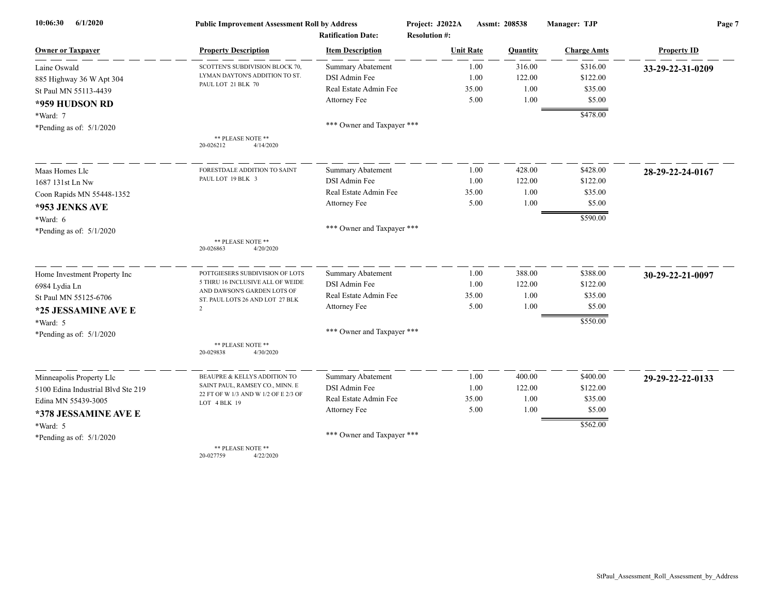| 6/1/2020<br>10:06:30               | <b>Public Improvement Assessment Roll by Address</b>            |                            | Project: J2022A      | Assmt: 208538 | Manager: TJP       | Page 7             |  |
|------------------------------------|-----------------------------------------------------------------|----------------------------|----------------------|---------------|--------------------|--------------------|--|
|                                    |                                                                 | <b>Ratification Date:</b>  | <b>Resolution #:</b> |               |                    |                    |  |
| <b>Owner or Taxpayer</b>           | <b>Property Description</b>                                     | <b>Item Description</b>    | <b>Unit Rate</b>     | Quantity      | <b>Charge Amts</b> | <b>Property ID</b> |  |
| Laine Oswald                       | SCOTTEN'S SUBDIVISION BLOCK 70,                                 | <b>Summary Abatement</b>   | 1.00                 | 316.00        | \$316.00           | 33-29-22-31-0209   |  |
| 885 Highway 36 W Apt 304           | LYMAN DAYTON'S ADDITION TO ST.                                  | DSI Admin Fee              | 1.00                 | 122.00        | \$122.00           |                    |  |
| St Paul MN 55113-4439              | PAUL LOT 21 BLK 70                                              | Real Estate Admin Fee      | 35.00                | 1.00          | \$35.00            |                    |  |
| *959 HUDSON RD                     |                                                                 | Attorney Fee               | 5.00                 | 1.00          | \$5.00             |                    |  |
| $*Ward: 7$                         |                                                                 |                            |                      |               | \$478.00           |                    |  |
| *Pending as of: $5/1/2020$         |                                                                 | *** Owner and Taxpayer *** |                      |               |                    |                    |  |
|                                    | ** PLEASE NOTE **<br>20-026212<br>4/14/2020                     |                            |                      |               |                    |                    |  |
| Maas Homes Llc                     | FORESTDALE ADDITION TO SAINT                                    | <b>Summary Abatement</b>   | 1.00                 | 428.00        | \$428.00           | 28-29-22-24-0167   |  |
| 1687 131st Ln Nw                   | PAUL LOT 19 BLK 3                                               | DSI Admin Fee              | 1.00                 | 122.00        | \$122.00           |                    |  |
| Coon Rapids MN 55448-1352          |                                                                 | Real Estate Admin Fee      | 35.00                | 1.00          | \$35.00            |                    |  |
| *953 JENKS AVE                     |                                                                 | Attorney Fee               | 5.00                 | 1.00          | \$5.00             |                    |  |
| $*Ward: 6$                         |                                                                 |                            |                      |               | \$590.00           |                    |  |
| *Pending as of: $5/1/2020$         |                                                                 | *** Owner and Taxpayer *** |                      |               |                    |                    |  |
|                                    | ** PLEASE NOTE **<br>20-026863<br>4/20/2020                     |                            |                      |               |                    |                    |  |
| Home Investment Property Inc       | POTTGIESERS SUBDIVISION OF LOTS                                 | <b>Summary Abatement</b>   | 1.00                 | 388.00        | \$388.00           | 30-29-22-21-0097   |  |
| 6984 Lydia Ln                      | 5 THRU 16 INCLUSIVE ALL OF WEIDE<br>AND DAWSON'S GARDEN LOTS OF | DSI Admin Fee              | 1.00                 | 122.00        | \$122.00           |                    |  |
| St Paul MN 55125-6706              | ST. PAUL LOTS 26 AND LOT 27 BLK                                 | Real Estate Admin Fee      | 35.00                | 1.00          | \$35.00            |                    |  |
| *25 JESSAMINE AVE E                | $\overline{2}$                                                  | Attorney Fee               | 5.00                 | 1.00          | \$5.00             |                    |  |
| *Ward: 5                           |                                                                 |                            |                      |               | \$550.00           |                    |  |
| *Pending as of: $5/1/2020$         |                                                                 | *** Owner and Taxpayer *** |                      |               |                    |                    |  |
|                                    | ** PLEASE NOTE **<br>20-029838<br>4/30/2020                     |                            |                      |               |                    |                    |  |
| Minneapolis Property Llc           | BEAUPRE & KELLYS ADDITION TO                                    | <b>Summary Abatement</b>   | 1.00                 | 400.00        | \$400.00           | 29-29-22-22-0133   |  |
| 5100 Edina Industrial Blvd Ste 219 | SAINT PAUL, RAMSEY CO., MINN. E                                 | DSI Admin Fee              | 1.00                 | 122.00        | \$122.00           |                    |  |
| Edina MN 55439-3005                | 22 FT OF W 1/3 AND W 1/2 OF E 2/3 OF<br>LOT 4 BLK 19            | Real Estate Admin Fee      | 35.00                | 1.00          | \$35.00            |                    |  |
| *378 JESSAMINE AVE E               |                                                                 | Attorney Fee               | 5.00                 | 1.00          | \$5.00             |                    |  |
| *Ward: 5                           |                                                                 |                            |                      |               | \$562.00           |                    |  |
| *Pending as of: 5/1/2020           |                                                                 | *** Owner and Taxpayer *** |                      |               |                    |                    |  |
|                                    | ** PLEASE NOTE **                                               |                            |                      |               |                    |                    |  |

20-027759 4/22/2020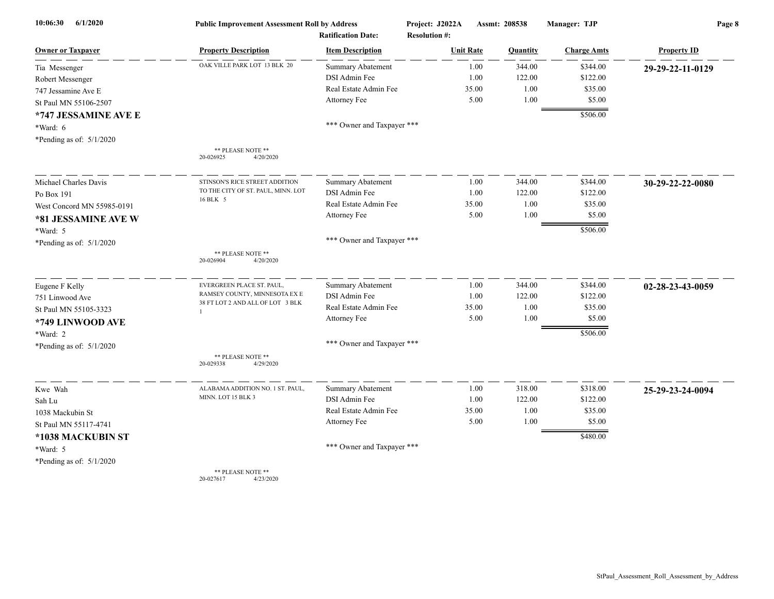| 6/1/2020<br>10:06:30       | <b>Public Improvement Assessment Roll by Address</b> |                            | Project: J2022A      | Assmt: 208538 |          | Manager: TJP       | Page 8             |  |
|----------------------------|------------------------------------------------------|----------------------------|----------------------|---------------|----------|--------------------|--------------------|--|
|                            | <b>Ratification Date:</b>                            |                            | <b>Resolution #:</b> |               |          |                    |                    |  |
| <b>Owner or Taxpayer</b>   | <b>Property Description</b>                          | <b>Item Description</b>    | <b>Unit Rate</b>     |               | Quantity | <b>Charge Amts</b> | <b>Property ID</b> |  |
| Tia Messenger              | OAK VILLE PARK LOT 13 BLK 20                         | <b>Summary Abatement</b>   |                      | 1.00          | 344.00   | \$344.00           | 29-29-22-11-0129   |  |
| Robert Messenger           |                                                      | DSI Admin Fee              |                      | 1.00          | 122.00   | \$122.00           |                    |  |
| 747 Jessamine Ave E        |                                                      | Real Estate Admin Fee      |                      | 35.00         | 1.00     | \$35.00            |                    |  |
| St Paul MN 55106-2507      |                                                      | Attorney Fee               |                      | 5.00          | 1.00     | \$5.00             |                    |  |
| *747 JESSAMINE AVE E       |                                                      |                            |                      |               |          | \$506.00           |                    |  |
| $*Ward: 6$                 |                                                      | *** Owner and Taxpayer *** |                      |               |          |                    |                    |  |
| *Pending as of: $5/1/2020$ |                                                      |                            |                      |               |          |                    |                    |  |
|                            | ** PLEASE NOTE **<br>20-026925<br>4/20/2020          |                            |                      |               |          |                    |                    |  |
| Michael Charles Davis      | STINSON'S RICE STREET ADDITION                       | <b>Summary Abatement</b>   |                      | 1.00          | 344.00   | \$344.00           | 30-29-22-22-0080   |  |
| Po Box 191                 | TO THE CITY OF ST. PAUL, MINN. LOT                   | DSI Admin Fee              |                      | 1.00          | 122.00   | \$122.00           |                    |  |
| West Concord MN 55985-0191 | 16 BLK 5                                             | Real Estate Admin Fee      |                      | 35.00         | 1.00     | \$35.00            |                    |  |
| *81 JESSAMINE AVE W        |                                                      | Attorney Fee               |                      | 5.00          | 1.00     | \$5.00             |                    |  |
| *Ward: 5                   |                                                      |                            |                      |               |          | \$506.00           |                    |  |
| *Pending as of: $5/1/2020$ |                                                      | *** Owner and Taxpayer *** |                      |               |          |                    |                    |  |
|                            | ** PLEASE NOTE **<br>20-026904<br>4/20/2020          |                            |                      |               |          |                    |                    |  |
| Eugene F Kelly             | EVERGREEN PLACE ST. PAUL,                            | <b>Summary Abatement</b>   |                      | 1.00          | 344.00   | \$344.00           | 02-28-23-43-0059   |  |
| 751 Linwood Ave            | RAMSEY COUNTY, MINNESOTA EX E                        | DSI Admin Fee              |                      | 1.00          | 122.00   | \$122.00           |                    |  |
| St Paul MN 55105-3323      | 38 FT LOT 2 AND ALL OF LOT 3 BLK                     | Real Estate Admin Fee      |                      | 35.00         | 1.00     | \$35.00            |                    |  |
| *749 LINWOOD AVE           |                                                      | Attorney Fee               |                      | 5.00          | 1.00     | \$5.00             |                    |  |
| *Ward: 2                   |                                                      |                            |                      |               |          | \$506.00           |                    |  |
| *Pending as of: $5/1/2020$ |                                                      | *** Owner and Taxpayer *** |                      |               |          |                    |                    |  |
|                            | ** PLEASE NOTE **<br>20-029338<br>4/29/2020          |                            |                      |               |          |                    |                    |  |
| Kwe Wah                    | ALABAMA ADDITION NO. 1 ST. PAUL,                     | Summary Abatement          |                      | 1.00          | 318.00   | \$318.00           | 25-29-23-24-0094   |  |
| Sah Lu                     | MINN. LOT 15 BLK 3                                   | DSI Admin Fee              |                      | 1.00          | 122.00   | \$122.00           |                    |  |
| 1038 Mackubin St           |                                                      | Real Estate Admin Fee      |                      | 35.00         | 1.00     | \$35.00            |                    |  |
| St Paul MN 55117-4741      |                                                      | Attorney Fee               |                      | 5.00          | 1.00     | \$5.00             |                    |  |
| *1038 MACKUBIN ST          |                                                      |                            |                      |               |          | \$480.00           |                    |  |
| *Ward: 5                   |                                                      | *** Owner and Taxpayer *** |                      |               |          |                    |                    |  |
| *Pending as of: $5/1/2020$ |                                                      |                            |                      |               |          |                    |                    |  |
|                            | ** PLEASE NOTE **<br>20-027617<br>4/23/2020          |                            |                      |               |          |                    |                    |  |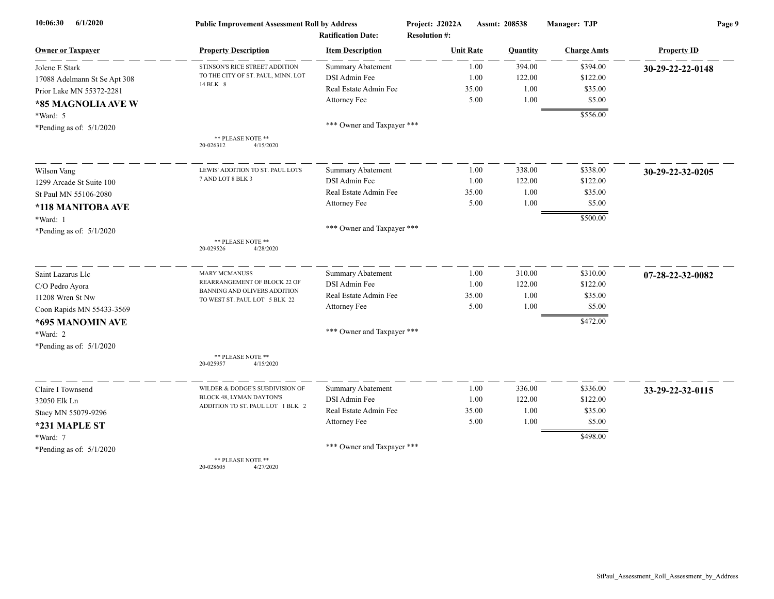| 6/1/2020<br>10:06:30         | <b>Public Improvement Assessment Roll by Address</b>          |                            | Project: J2022A      |       | Assmt: 208538 | Manager: TJP       | Page 9             |  |
|------------------------------|---------------------------------------------------------------|----------------------------|----------------------|-------|---------------|--------------------|--------------------|--|
|                              |                                                               | <b>Ratification Date:</b>  | <b>Resolution #:</b> |       |               |                    |                    |  |
| <b>Owner or Taxpayer</b>     | <b>Property Description</b>                                   | <b>Item Description</b>    | <b>Unit Rate</b>     |       | Quantity      | <b>Charge Amts</b> | <b>Property ID</b> |  |
| Jolene E Stark               | STINSON'S RICE STREET ADDITION                                | <b>Summary Abatement</b>   |                      | 1.00  | 394.00        | \$394.00           | 30-29-22-22-0148   |  |
| 17088 Adelmann St Se Apt 308 | TO THE CITY OF ST. PAUL, MINN. LOT<br>14 BLK 8                | DSI Admin Fee              |                      | 1.00  | 122.00        | \$122.00           |                    |  |
| Prior Lake MN 55372-2281     |                                                               | Real Estate Admin Fee      |                      | 35.00 | 1.00          | \$35.00            |                    |  |
| *85 MAGNOLIA AVE W           |                                                               | Attorney Fee               |                      | 5.00  | 1.00          | \$5.00             |                    |  |
| *Ward: 5                     |                                                               |                            |                      |       |               | \$556.00           |                    |  |
| *Pending as of: $5/1/2020$   |                                                               | *** Owner and Taxpayer *** |                      |       |               |                    |                    |  |
|                              | ** PLEASE NOTE **<br>20-026312<br>4/15/2020                   |                            |                      |       |               |                    |                    |  |
| Wilson Vang                  | LEWIS' ADDITION TO ST. PAUL LOTS                              | Summary Abatement          |                      | 1.00  | 338.00        | \$338.00           | 30-29-22-32-0205   |  |
| 1299 Arcade St Suite 100     | 7 AND LOT 8 BLK 3                                             | DSI Admin Fee              |                      | 1.00  | 122.00        | \$122.00           |                    |  |
| St Paul MN 55106-2080        |                                                               | Real Estate Admin Fee      |                      | 35.00 | 1.00          | \$35.00            |                    |  |
| *118 MANITOBA AVE            |                                                               | Attorney Fee               |                      | 5.00  | 1.00          | \$5.00             |                    |  |
| *Ward: 1                     |                                                               |                            |                      |       |               | \$500.00           |                    |  |
| *Pending as of: $5/1/2020$   |                                                               | *** Owner and Taxpayer *** |                      |       |               |                    |                    |  |
|                              | ** PLEASE NOTE **<br>20-029526<br>4/28/2020                   |                            |                      |       |               |                    |                    |  |
| Saint Lazarus Llc            | <b>MARY MCMANUSS</b>                                          | <b>Summary Abatement</b>   |                      | 1.00  | 310.00        | \$310.00           | 07-28-22-32-0082   |  |
| C/O Pedro Ayora              | REARRANGEMENT OF BLOCK 22 OF                                  | DSI Admin Fee              |                      | 1.00  | 122.00        | \$122.00           |                    |  |
| 11208 Wren St Nw             | BANNING AND OLIVERS ADDITION<br>TO WEST ST. PAUL LOT 5 BLK 22 | Real Estate Admin Fee      |                      | 35.00 | 1.00          | \$35.00            |                    |  |
| Coon Rapids MN 55433-3569    |                                                               | Attorney Fee               |                      | 5.00  | 1.00          | \$5.00             |                    |  |
| *695 MANOMIN AVE             |                                                               |                            |                      |       |               | \$472.00           |                    |  |
| *Ward: 2                     |                                                               | *** Owner and Taxpayer *** |                      |       |               |                    |                    |  |
| *Pending as of: $5/1/2020$   |                                                               |                            |                      |       |               |                    |                    |  |
|                              | ** PLEASE NOTE **<br>20-025957<br>4/15/2020                   |                            |                      |       |               |                    |                    |  |
| Claire I Townsend            | WILDER & DODGE'S SUBDIVISION OF                               | <b>Summary Abatement</b>   |                      | 1.00  | 336.00        | \$336.00           | 33-29-22-32-0115   |  |
| 32050 Elk Ln                 | BLOCK 48, LYMAN DAYTON'S                                      | DSI Admin Fee              |                      | 1.00  | 122.00        | \$122.00           |                    |  |
| Stacy MN 55079-9296          | ADDITION TO ST. PAUL LOT 1 BLK 2                              | Real Estate Admin Fee      |                      | 35.00 | 1.00          | \$35.00            |                    |  |
| *231 MAPLE ST                |                                                               | Attorney Fee               |                      | 5.00  | 1.00          | \$5.00             |                    |  |
| *Ward: 7                     |                                                               |                            |                      |       |               | \$498.00           |                    |  |
| *Pending as of: $5/1/2020$   |                                                               | *** Owner and Taxpayer *** |                      |       |               |                    |                    |  |
|                              | ** PLEASE NOTE **                                             |                            |                      |       |               |                    |                    |  |

20-028605 4/27/2020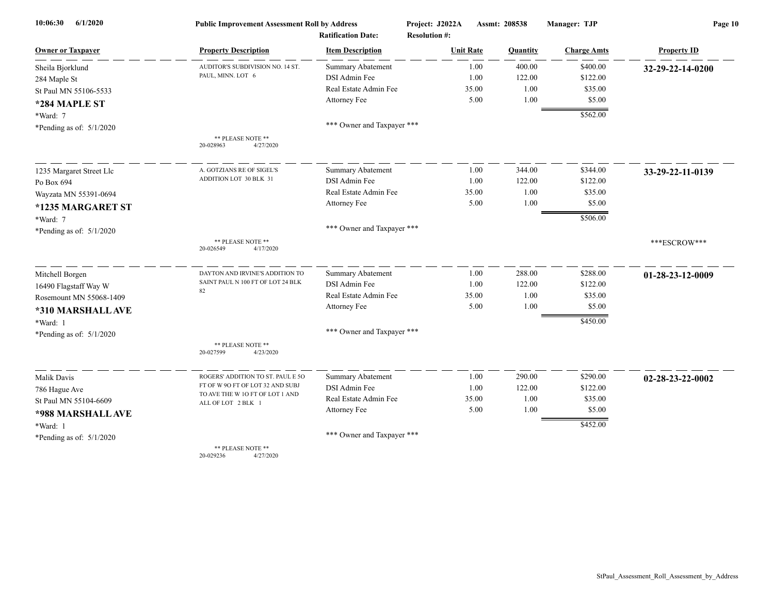| 6/1/2020<br>10:06:30       | <b>Public Improvement Assessment Roll by Address</b>  |                            | Project: J2022A      | Manager: TJP<br>Assmt: 208538 |                    | Page 10            |  |
|----------------------------|-------------------------------------------------------|----------------------------|----------------------|-------------------------------|--------------------|--------------------|--|
|                            |                                                       | <b>Ratification Date:</b>  | <b>Resolution #:</b> |                               |                    |                    |  |
| <b>Owner or Taxpayer</b>   | <b>Property Description</b>                           | <b>Item Description</b>    | <b>Unit Rate</b>     | Quantity                      | <b>Charge Amts</b> | <b>Property ID</b> |  |
| Sheila Bjorklund           | AUDITOR'S SUBDIVISION NO. 14 ST.                      | Summary Abatement          | 1.00                 | 400.00                        | \$400.00           | 32-29-22-14-0200   |  |
| 284 Maple St               | PAUL, MINN. LOT 6                                     | DSI Admin Fee              | 1.00                 | 122.00                        | \$122.00           |                    |  |
| St Paul MN 55106-5533      |                                                       | Real Estate Admin Fee      | 35.00                | 1.00                          | \$35.00            |                    |  |
| *284 MAPLE ST              |                                                       | Attorney Fee               | 5.00                 | 1.00                          | \$5.00             |                    |  |
| *Ward: 7                   |                                                       |                            |                      |                               | \$562.00           |                    |  |
| *Pending as of: $5/1/2020$ |                                                       | *** Owner and Taxpayer *** |                      |                               |                    |                    |  |
|                            | ** PLEASE NOTE **<br>20-028963<br>4/27/2020           |                            |                      |                               |                    |                    |  |
| 1235 Margaret Street Llc   | A. GOTZIANS RE OF SIGEL'S                             | <b>Summary Abatement</b>   | 1.00                 | 344.00                        | \$344.00           | 33-29-22-11-0139   |  |
| Po Box 694                 | ADDITION LOT 30 BLK 31                                | DSI Admin Fee              | 1.00                 | 122.00                        | \$122.00           |                    |  |
| Wayzata MN 55391-0694      |                                                       | Real Estate Admin Fee      | 35.00                | 1.00                          | \$35.00            |                    |  |
| *1235 MARGARET ST          |                                                       | Attorney Fee               | 5.00                 | 1.00                          | \$5.00             |                    |  |
| *Ward: 7                   |                                                       |                            |                      |                               | \$506.00           |                    |  |
| *Pending as of: $5/1/2020$ |                                                       | *** Owner and Taxpayer *** |                      |                               |                    |                    |  |
|                            | ** PLEASE NOTE **<br>20-026549<br>4/17/2020           |                            |                      |                               |                    | ***ESCROW***       |  |
| Mitchell Borgen            | DAYTON AND IRVINE'S ADDITION TO                       | <b>Summary Abatement</b>   | 1.00                 | 288.00                        | \$288.00           | 01-28-23-12-0009   |  |
| 16490 Flagstaff Way W      | SAINT PAUL N 100 FT OF LOT 24 BLK                     | DSI Admin Fee              | 1.00                 | 122.00                        | \$122.00           |                    |  |
| Rosemount MN 55068-1409    | 82                                                    | Real Estate Admin Fee      | 35.00                | 1.00                          | \$35.00            |                    |  |
| *310 MARSHALL AVE          |                                                       | Attorney Fee               | 5.00                 | 1.00                          | \$5.00             |                    |  |
| *Ward: 1                   |                                                       |                            |                      |                               | \$450.00           |                    |  |
| *Pending as of: $5/1/2020$ |                                                       | *** Owner and Taxpayer *** |                      |                               |                    |                    |  |
|                            | ** PLEASE NOTE **<br>20-027599<br>4/23/2020           |                            |                      |                               |                    |                    |  |
| Malik Davis                | ROGERS' ADDITION TO ST. PAUL E 50                     | Summary Abatement          | 1.00                 | 290.00                        | \$290.00           | 02-28-23-22-0002   |  |
| 786 Hague Ave              | FT OF W 90 FT OF LOT 32 AND SUBJ                      | DSI Admin Fee              | 1.00                 | 122.00                        | \$122.00           |                    |  |
| St Paul MN 55104-6609      | TO AVE THE W 10 FT OF LOT 1 AND<br>ALL OF LOT 2 BLK 1 | Real Estate Admin Fee      | 35.00                | 1.00                          | \$35.00            |                    |  |
| *988 MARSHALL AVE          |                                                       | <b>Attorney Fee</b>        | 5.00                 | 1.00                          | \$5.00             |                    |  |
| *Ward: 1                   |                                                       |                            |                      |                               | \$452.00           |                    |  |
| *Pending as of: $5/1/2020$ |                                                       | *** Owner and Taxpayer *** |                      |                               |                    |                    |  |
|                            | ** PLEASE NOTE **                                     |                            |                      |                               |                    |                    |  |

20-029236 4/27/2020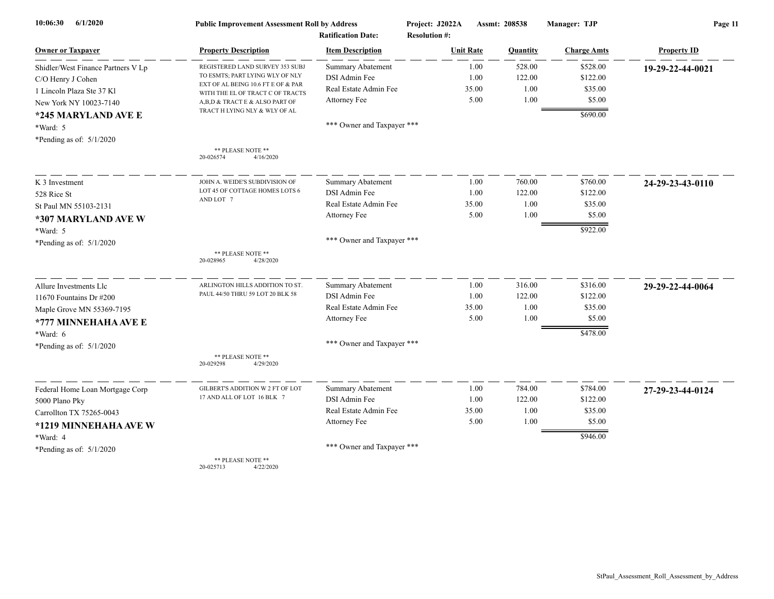| 10:06:30<br>6/1/2020               | <b>Public Improvement Assessment Roll by Address</b>                   |                            | Project: J2022A      | Assmt: 208538 |                    | Page 11            |  |
|------------------------------------|------------------------------------------------------------------------|----------------------------|----------------------|---------------|--------------------|--------------------|--|
|                                    |                                                                        | <b>Ratification Date:</b>  | <b>Resolution #:</b> |               |                    |                    |  |
| <b>Owner or Taxpayer</b>           | <b>Property Description</b>                                            | <b>Item Description</b>    | <b>Unit Rate</b>     | Quantity      | <b>Charge Amts</b> | <b>Property ID</b> |  |
| Shidler/West Finance Partners V Lp | REGISTERED LAND SURVEY 353 SUBJ                                        | Summary Abatement          | 1.00                 | 528.00        | \$528.00           | 19-29-22-44-0021   |  |
| C/O Henry J Cohen                  | TO ESMTS; PART LYING WLY OF NLY                                        | DSI Admin Fee              | 1.00                 | 122.00        | \$122.00           |                    |  |
| 1 Lincoln Plaza Ste 37 Kl          | EXT OF AL BEING 10.6 FT E OF & PAR<br>WITH THE EL OF TRACT C OF TRACTS | Real Estate Admin Fee      | 35.00                | 1.00          | \$35.00            |                    |  |
| New York NY 10023-7140             | A,B,D & TRACT E & ALSO PART OF                                         | Attorney Fee               | 5.00                 | 1.00          | \$5.00             |                    |  |
| *245 MARYLAND AVE E                | TRACT H LYING NLY & WLY OF AL                                          |                            |                      |               | \$690.00           |                    |  |
| *Ward: 5                           |                                                                        | *** Owner and Taxpayer *** |                      |               |                    |                    |  |
| *Pending as of: $5/1/2020$         |                                                                        |                            |                      |               |                    |                    |  |
|                                    | ** PLEASE NOTE **                                                      |                            |                      |               |                    |                    |  |
|                                    | 20-026574<br>4/16/2020                                                 |                            |                      |               |                    |                    |  |
| K 3 Investment                     | JOHN A. WEIDE'S SUBDIVISION OF                                         | Summary Abatement          | 1.00                 | 760.00        | \$760.00           | 24-29-23-43-0110   |  |
| 528 Rice St                        | LOT 45 OF COTTAGE HOMES LOTS 6                                         | DSI Admin Fee              | 1.00                 | 122.00        | \$122.00           |                    |  |
| St Paul MN 55103-2131              | AND LOT 7                                                              | Real Estate Admin Fee      | 35.00                | 1.00          | \$35.00            |                    |  |
| *307 MARYLAND AVE W                |                                                                        | Attorney Fee               | 5.00                 | 1.00          | \$5.00             |                    |  |
| *Ward: 5                           |                                                                        |                            |                      |               | \$922.00           |                    |  |
| *Pending as of: $5/1/2020$         |                                                                        | *** Owner and Taxpayer *** |                      |               |                    |                    |  |
|                                    | ** PLEASE NOTE **                                                      |                            |                      |               |                    |                    |  |
|                                    | 20-028965<br>4/28/2020                                                 |                            |                      |               |                    |                    |  |
| Allure Investments Llc             | ARLINGTON HILLS ADDITION TO ST.                                        | Summary Abatement          | 1.00                 | 316.00        | \$316.00           | 29-29-22-44-0064   |  |
| 11670 Fountains Dr #200            | PAUL 44/50 THRU 59 LOT 20 BLK 58                                       | DSI Admin Fee              | 1.00                 | 122.00        | \$122.00           |                    |  |
| Maple Grove MN 55369-7195          |                                                                        | Real Estate Admin Fee      | 35.00                | 1.00          | \$35.00            |                    |  |
| *777 MINNEHAHA AVE E               |                                                                        | Attorney Fee               | 5.00                 | 1.00          | \$5.00             |                    |  |
| *Ward: 6                           |                                                                        |                            |                      |               | \$478.00           |                    |  |
| *Pending as of: $5/1/2020$         |                                                                        | *** Owner and Taxpayer *** |                      |               |                    |                    |  |
|                                    | ** PLEASE NOTE **                                                      |                            |                      |               |                    |                    |  |
|                                    | 4/29/2020<br>20-029298                                                 |                            |                      |               |                    |                    |  |
| Federal Home Loan Mortgage Corp    | GILBERT'S ADDITION W 2 FT OF LOT                                       | <b>Summary Abatement</b>   | 1.00                 | 784.00        | \$784.00           | 27-29-23-44-0124   |  |
| 5000 Plano Pky                     | 17 AND ALL OF LOT 16 BLK 7                                             | DSI Admin Fee              | 1.00                 | 122.00        | \$122.00           |                    |  |
| Carrollton TX 75265-0043           |                                                                        | Real Estate Admin Fee      | 35.00                | 1.00          | \$35.00            |                    |  |
| *1219 MINNEHAHA AVE W              |                                                                        | Attorney Fee               | 5.00                 | 1.00          | \$5.00             |                    |  |
| *Ward: 4                           |                                                                        |                            |                      |               | \$946.00           |                    |  |
| *Pending as of: $5/1/2020$         |                                                                        | *** Owner and Taxpayer *** |                      |               |                    |                    |  |
|                                    | ** PLEASE NOTE **                                                      |                            |                      |               |                    |                    |  |

20-025713 4/22/2020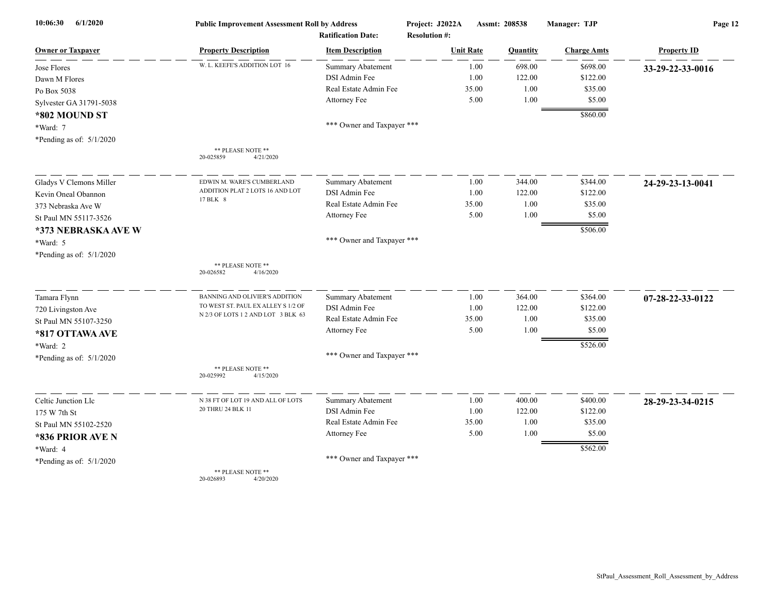| 10:06:30<br>6/1/2020       | <b>Public Improvement Assessment Roll by Address</b><br><b>Ratification Date:</b> |                            | Project: J2022A<br><b>Resolution #:</b> | Assmt: 208538 |          | Manager: TJP       | Page 12            |  |
|----------------------------|-----------------------------------------------------------------------------------|----------------------------|-----------------------------------------|---------------|----------|--------------------|--------------------|--|
| <b>Owner or Taxpayer</b>   | <b>Property Description</b>                                                       | <b>Item Description</b>    | <b>Unit Rate</b>                        |               | Quantity | <b>Charge Amts</b> | <b>Property ID</b> |  |
| Jose Flores                | W. L. KEEFE'S ADDITION LOT 16                                                     | Summary Abatement          |                                         | 1.00          | 698.00   | \$698.00           | 33-29-22-33-0016   |  |
| Dawn M Flores              |                                                                                   | DSI Admin Fee              |                                         | 1.00          | 122.00   | \$122.00           |                    |  |
| Po Box 5038                |                                                                                   | Real Estate Admin Fee      |                                         | 35.00         | 1.00     | \$35.00            |                    |  |
| Sylvester GA 31791-5038    |                                                                                   | Attorney Fee               |                                         | 5.00          | 1.00     | \$5.00             |                    |  |
| *802 MOUND ST              |                                                                                   |                            |                                         |               |          | \$860.00           |                    |  |
| *Ward: 7                   |                                                                                   | *** Owner and Taxpayer *** |                                         |               |          |                    |                    |  |
| *Pending as of: $5/1/2020$ |                                                                                   |                            |                                         |               |          |                    |                    |  |
|                            | ** PLEASE NOTE **<br>4/21/2020<br>20-025859                                       |                            |                                         |               |          |                    |                    |  |
| Gladys V Clemons Miller    | EDWIN M. WARE'S CUMBERLAND                                                        | Summary Abatement          |                                         | 1.00          | 344.00   | \$344.00           | 24-29-23-13-0041   |  |
| Kevin Oneal Obannon        | ADDITION PLAT 2 LOTS 16 AND LOT                                                   | DSI Admin Fee              |                                         | 1.00          | 122.00   | \$122.00           |                    |  |
| 373 Nebraska Ave W         | 17 BLK 8                                                                          | Real Estate Admin Fee      |                                         | 35.00         | 1.00     | \$35.00            |                    |  |
| St Paul MN 55117-3526      |                                                                                   | Attorney Fee               |                                         | 5.00          | 1.00     | \$5.00             |                    |  |
| *373 NEBRASKA AVE W        |                                                                                   |                            |                                         |               |          | \$506.00           |                    |  |
| *Ward: 5                   |                                                                                   | *** Owner and Taxpayer *** |                                         |               |          |                    |                    |  |
| *Pending as of: $5/1/2020$ |                                                                                   |                            |                                         |               |          |                    |                    |  |
|                            | ** PLEASE NOTE **<br>4/16/2020<br>20-026582                                       |                            |                                         |               |          |                    |                    |  |
| Tamara Flynn               | BANNING AND OLIVIER'S ADDITION                                                    | Summary Abatement          |                                         | 1.00          | 364.00   | \$364.00           | 07-28-22-33-0122   |  |
| 720 Livingston Ave         | TO WEST ST. PAUL EX ALLEY S 1/2 OF                                                | DSI Admin Fee              |                                         | 1.00          | 122.00   | \$122.00           |                    |  |
| St Paul MN 55107-3250      | N 2/3 OF LOTS 1 2 AND LOT 3 BLK 63                                                | Real Estate Admin Fee      |                                         | 35.00         | 1.00     | \$35.00            |                    |  |
| *817 OTTAWA AVE            |                                                                                   | Attorney Fee               |                                         | 5.00          | 1.00     | \$5.00             |                    |  |
| *Ward: 2                   |                                                                                   |                            |                                         |               |          | \$526.00           |                    |  |
| *Pending as of: $5/1/2020$ |                                                                                   | *** Owner and Taxpayer *** |                                         |               |          |                    |                    |  |
|                            | ** PLEASE NOTE **<br>20-025992<br>4/15/2020                                       |                            |                                         |               |          |                    |                    |  |
| Celtic Junction Llc        | N 38 FT OF LOT 19 AND ALL OF LOTS                                                 | Summary Abatement          |                                         | 1.00          | 400.00   | \$400.00           | 28-29-23-34-0215   |  |
| 175 W 7th St               | 20 THRU 24 BLK 11                                                                 | DSI Admin Fee              |                                         | 1.00          | 122.00   | \$122.00           |                    |  |
| St Paul MN 55102-2520      |                                                                                   | Real Estate Admin Fee      |                                         | 35.00         | 1.00     | \$35.00            |                    |  |
| *836 PRIOR AVE N           |                                                                                   | Attorney Fee               |                                         | 5.00          | 1.00     | \$5.00             |                    |  |
| *Ward: 4                   |                                                                                   |                            |                                         |               |          | \$562.00           |                    |  |
| *Pending as of: $5/1/2020$ |                                                                                   | *** Owner and Taxpayer *** |                                         |               |          |                    |                    |  |
|                            | ** PLEASE NOTE **                                                                 |                            |                                         |               |          |                    |                    |  |

20-026893 4/20/2020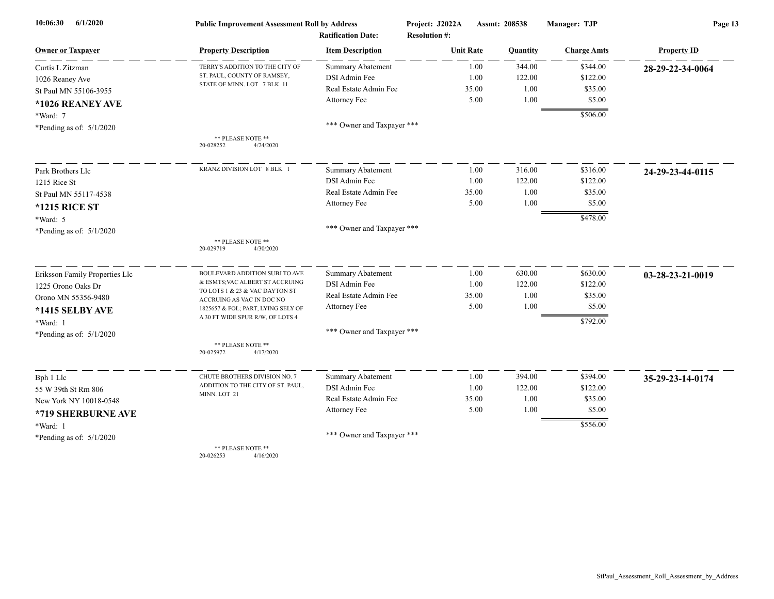| 6/1/2020<br>10:06:30           | <b>Public Improvement Assessment Roll by Address</b><br><b>Ratification Date:</b> |                            | Project: J2022A      | Assmt: 208538 | Manager: TJP       | Page 13            |  |
|--------------------------------|-----------------------------------------------------------------------------------|----------------------------|----------------------|---------------|--------------------|--------------------|--|
|                                |                                                                                   |                            | <b>Resolution #:</b> |               |                    |                    |  |
| <b>Owner or Taxpayer</b>       | <b>Property Description</b>                                                       | <b>Item Description</b>    | <b>Unit Rate</b>     | Quantity      | <b>Charge Amts</b> | <b>Property ID</b> |  |
| Curtis L Zitzman               | TERRY'S ADDITION TO THE CITY OF                                                   | Summary Abatement          | 1.00                 | 344.00        | \$344.00           | 28-29-22-34-0064   |  |
| 1026 Reaney Ave                | ST. PAUL, COUNTY OF RAMSEY,                                                       | DSI Admin Fee              | 1.00                 | 122.00        | \$122.00           |                    |  |
| St Paul MN 55106-3955          | STATE OF MINN. LOT 7 BLK 11                                                       | Real Estate Admin Fee      | 35.00                | 1.00          | \$35.00            |                    |  |
| *1026 REANEY AVE               |                                                                                   | <b>Attorney Fee</b>        | 5.00                 | 1.00          | \$5.00             |                    |  |
| *Ward: 7                       |                                                                                   |                            |                      |               | \$506.00           |                    |  |
| *Pending as of: $5/1/2020$     |                                                                                   | *** Owner and Taxpayer *** |                      |               |                    |                    |  |
|                                | ** PLEASE NOTE **<br>4/24/2020<br>20-028252                                       |                            |                      |               |                    |                    |  |
| Park Brothers Llc              | KRANZ DIVISION LOT 8 BLK 1                                                        | <b>Summary Abatement</b>   | 1.00                 | 316.00        | \$316.00           | 24-29-23-44-0115   |  |
| 1215 Rice St                   |                                                                                   | DSI Admin Fee              | 1.00                 | 122.00        | \$122.00           |                    |  |
| St Paul MN 55117-4538          |                                                                                   | Real Estate Admin Fee      | 35.00                | 1.00          | \$35.00            |                    |  |
| <b>*1215 RICE ST</b>           |                                                                                   | Attorney Fee               | 5.00                 | 1.00          | \$5.00             |                    |  |
| *Ward: 5                       |                                                                                   |                            |                      |               | \$478.00           |                    |  |
| *Pending as of: $5/1/2020$     |                                                                                   | *** Owner and Taxpayer *** |                      |               |                    |                    |  |
|                                | ** PLEASE NOTE **<br>20-029719<br>4/30/2020                                       |                            |                      |               |                    |                    |  |
| Eriksson Family Properties Llc | BOULEVARD ADDITION SUBJ TO AVE                                                    | <b>Summary Abatement</b>   | 1.00                 | 630.00        | \$630.00           | 03-28-23-21-0019   |  |
| 1225 Orono Oaks Dr             | & ESMTS; VAC ALBERT ST ACCRUING<br>TO LOTS 1 & 23 & VAC DAYTON ST                 | DSI Admin Fee              | 1.00                 | 122.00        | \$122.00           |                    |  |
| Orono MN 55356-9480            | ACCRUING AS VAC IN DOC NO                                                         | Real Estate Admin Fee      | 35.00                | 1.00          | \$35.00            |                    |  |
| *1415 SELBY AVE                | 1825657 & FOL; PART, LYING SELY OF                                                | Attorney Fee               | 5.00                 | 1.00          | \$5.00             |                    |  |
| *Ward: 1                       | A 30 FT WIDE SPUR R/W, OF LOTS 4                                                  |                            |                      |               | \$792.00           |                    |  |
| *Pending as of: $5/1/2020$     |                                                                                   | *** Owner and Taxpayer *** |                      |               |                    |                    |  |
|                                | ** PLEASE NOTE **<br>20-025972<br>4/17/2020                                       |                            |                      |               |                    |                    |  |
| Bph 1 Llc                      | CHUTE BROTHERS DIVISION NO. 7                                                     | Summary Abatement          | 1.00                 | 394.00        | \$394.00           | 35-29-23-14-0174   |  |
| 55 W 39th St Rm 806            | ADDITION TO THE CITY OF ST. PAUL,<br>MINN. LOT 21                                 | DSI Admin Fee              | 1.00                 | 122.00        | \$122.00           |                    |  |
| New York NY 10018-0548         |                                                                                   | Real Estate Admin Fee      | 35.00                | 1.00          | \$35.00            |                    |  |
| *719 SHERBURNE AVE             |                                                                                   | Attorney Fee               | 5.00                 | 1.00          | \$5.00             |                    |  |
| *Ward: 1                       |                                                                                   |                            |                      |               | \$556.00           |                    |  |
| *Pending as of: $5/1/2020$     |                                                                                   | *** Owner and Taxpayer *** |                      |               |                    |                    |  |
|                                | ** PLEASE NOTE **                                                                 |                            |                      |               |                    |                    |  |

20-026253 4/16/2020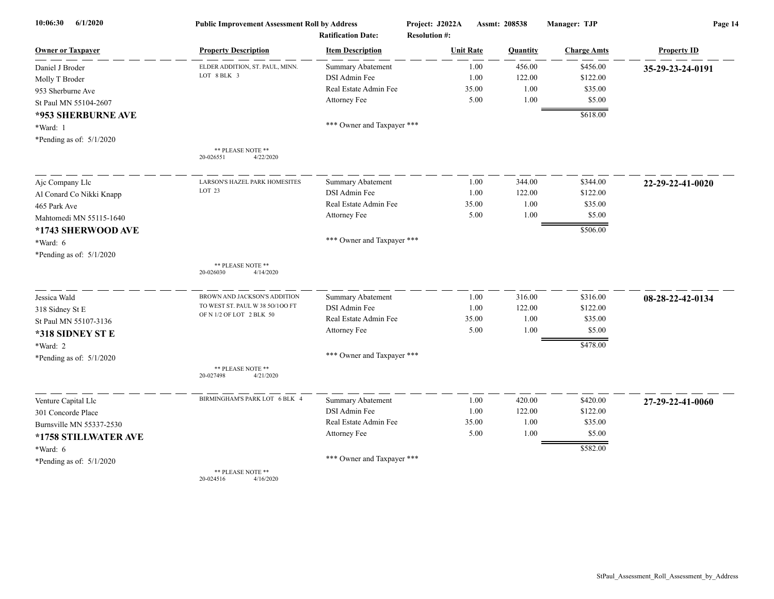| 6/1/2020<br>10:06:30       | <b>Public Improvement Assessment Roll by Address</b> |                                                      | Project: J2022A                          | Assmt: 208538 | Manager: TJP       | Page 14            |  |
|----------------------------|------------------------------------------------------|------------------------------------------------------|------------------------------------------|---------------|--------------------|--------------------|--|
| <b>Owner or Taxpaver</b>   | <b>Property Description</b>                          | <b>Ratification Date:</b><br><b>Item Description</b> | <b>Resolution #:</b><br><b>Unit Rate</b> | Quantity      | <b>Charge Amts</b> | <b>Property ID</b> |  |
| Daniel J Broder            | ELDER ADDITION, ST. PAUL, MINN.                      | <b>Summary Abatement</b>                             | 1.00                                     | 456.00        | \$456.00           | 35-29-23-24-0191   |  |
| Molly T Broder             | LOT 8 BLK 3                                          | DSI Admin Fee                                        | 1.00                                     | 122.00        | \$122.00           |                    |  |
| 953 Sherburne Ave          |                                                      | Real Estate Admin Fee                                | 35.00                                    | 1.00          | \$35.00            |                    |  |
| St Paul MN 55104-2607      |                                                      | Attorney Fee                                         | 5.00                                     | 1.00          | \$5.00             |                    |  |
| *953 SHERBURNE AVE         |                                                      |                                                      |                                          |               | \$618.00           |                    |  |
| *Ward: 1                   |                                                      | *** Owner and Taxpayer ***                           |                                          |               |                    |                    |  |
| *Pending as of: $5/1/2020$ |                                                      |                                                      |                                          |               |                    |                    |  |
|                            | ** PLEASE NOTE **<br>20-026551<br>4/22/2020          |                                                      |                                          |               |                    |                    |  |
| Ajc Company Llc            | <b>LARSON'S HAZEL PARK HOMESITES</b>                 | <b>Summary Abatement</b>                             | 1.00                                     | 344.00        | \$344.00           | 22-29-22-41-0020   |  |
| Al Conard Co Nikki Knapp   | LOT <sub>23</sub>                                    | DSI Admin Fee                                        | 1.00                                     | 122.00        | \$122.00           |                    |  |
| 465 Park Ave               |                                                      | Real Estate Admin Fee                                | 35.00                                    | 1.00          | \$35.00            |                    |  |
| Mahtomedi MN 55115-1640    |                                                      | Attorney Fee                                         | 5.00                                     | 1.00          | \$5.00             |                    |  |
| *1743 SHERWOOD AVE         |                                                      |                                                      |                                          |               | \$506.00           |                    |  |
| *Ward: 6                   |                                                      | *** Owner and Taxpayer ***                           |                                          |               |                    |                    |  |
| *Pending as of: $5/1/2020$ |                                                      |                                                      |                                          |               |                    |                    |  |
|                            | ** PLEASE NOTE **<br>20-026030<br>4/14/2020          |                                                      |                                          |               |                    |                    |  |
| Jessica Wald               | BROWN AND JACKSON'S ADDITION                         | <b>Summary Abatement</b>                             | 1.00                                     | 316.00        | \$316.00           | 08-28-22-42-0134   |  |
| 318 Sidney St E            | TO WEST ST. PAUL W 38 50/100 FT                      | DSI Admin Fee                                        | 1.00                                     | 122.00        | \$122.00           |                    |  |
| St Paul MN 55107-3136      | OF N 1/2 OF LOT 2 BLK 50                             | Real Estate Admin Fee                                | 35.00                                    | 1.00          | \$35.00            |                    |  |
| *318 SIDNEY ST E           |                                                      | Attorney Fee                                         | 5.00                                     | 1.00          | \$5.00             |                    |  |
| *Ward: 2                   |                                                      |                                                      |                                          |               | \$478.00           |                    |  |
| *Pending as of: $5/1/2020$ |                                                      | *** Owner and Taxpayer ***                           |                                          |               |                    |                    |  |
|                            | ** PLEASE NOTE **<br>20-027498<br>4/21/2020          |                                                      |                                          |               |                    |                    |  |
| Venture Capital Llc        | BIRMINGHAM'S PARK LOT 6 BLK 4                        | Summary Abatement                                    | 1.00                                     | 420.00        | \$420.00           | 27-29-22-41-0060   |  |
| 301 Concorde Place         |                                                      | DSI Admin Fee                                        | 1.00                                     | 122.00        | \$122.00           |                    |  |
| Burnsville MN 55337-2530   |                                                      | Real Estate Admin Fee                                | 35.00                                    | 1.00          | \$35.00            |                    |  |
| *1758 STILLWATER AVE       |                                                      | Attorney Fee                                         | 5.00                                     | 1.00          | \$5.00             |                    |  |
| *Ward: 6                   |                                                      |                                                      |                                          |               | \$582.00           |                    |  |
| *Pending as of: $5/1/2020$ |                                                      | *** Owner and Taxpayer ***                           |                                          |               |                    |                    |  |
|                            | ** PLEASE NOTE **                                    |                                                      |                                          |               |                    |                    |  |

20-024516 4/16/2020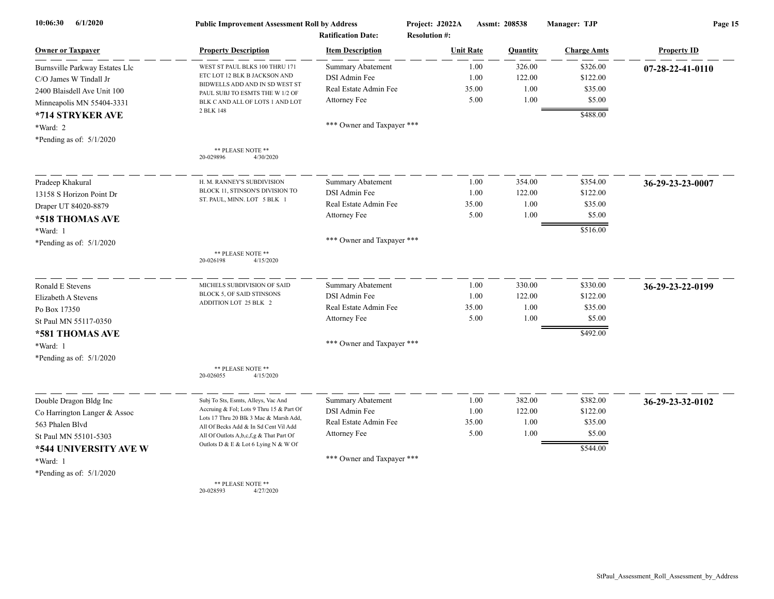| 6/1/2020<br>10:06:30           | <b>Public Improvement Assessment Roll by Address</b><br><b>Ratification Date:</b> |                            | Project: J2022A<br><b>Resolution #:</b> |       | Assmt: 208538 | Manager: TJP       | Page 15            |  |
|--------------------------------|-----------------------------------------------------------------------------------|----------------------------|-----------------------------------------|-------|---------------|--------------------|--------------------|--|
| <b>Owner or Taxpayer</b>       | <b>Property Description</b>                                                       | <b>Item Description</b>    | <b>Unit Rate</b>                        |       | Quantity      | <b>Charge Amts</b> | <b>Property ID</b> |  |
| Burnsville Parkway Estates Llc | WEST ST PAUL BLKS 100 THRU 171                                                    | <b>Summary Abatement</b>   |                                         | 1.00  | 326.00        | \$326.00           | 07-28-22-41-0110   |  |
| C/O James W Tindall Jr         | ETC LOT 12 BLK B JACKSON AND                                                      | DSI Admin Fee              |                                         | 1.00  | 122.00        | \$122.00           |                    |  |
| 2400 Blaisdell Ave Unit 100    | BIDWELLS ADD AND IN SD WEST ST<br>PAUL SUBJ TO ESMTS THE W 1/2 OF                 | Real Estate Admin Fee      |                                         | 35.00 | 1.00          | \$35.00            |                    |  |
| Minneapolis MN 55404-3331      | BLK C AND ALL OF LOTS 1 AND LOT                                                   | Attorney Fee               |                                         | 5.00  | 1.00          | \$5.00             |                    |  |
| *714 STRYKER AVE               | 2 BLK 148                                                                         |                            |                                         |       |               | \$488.00           |                    |  |
| *Ward: 2                       |                                                                                   | *** Owner and Taxpayer *** |                                         |       |               |                    |                    |  |
| *Pending as of: $5/1/2020$     |                                                                                   |                            |                                         |       |               |                    |                    |  |
|                                | ** PLEASE NOTE **<br>20-029896<br>4/30/2020                                       |                            |                                         |       |               |                    |                    |  |
| Pradeep Khakural               | H. M. RANNEY'S SUBDIVISION                                                        | <b>Summary Abatement</b>   |                                         | 1.00  | 354.00        | \$354.00           | 36-29-23-23-0007   |  |
| 13158 S Horizon Point Dr       | BLOCK 11, STINSON'S DIVISION TO                                                   | DSI Admin Fee              |                                         | 1.00  | 122.00        | \$122.00           |                    |  |
| Draper UT 84020-8879           | ST. PAUL, MINN. LOT 5 BLK 1                                                       | Real Estate Admin Fee      |                                         | 35.00 | 1.00          | \$35.00            |                    |  |
| *518 THOMAS AVE                |                                                                                   | Attorney Fee               |                                         | 5.00  | 1.00          | \$5.00             |                    |  |
| *Ward: 1                       |                                                                                   |                            |                                         |       |               | \$516.00           |                    |  |
| *Pending as of: $5/1/2020$     |                                                                                   | *** Owner and Taxpayer *** |                                         |       |               |                    |                    |  |
|                                | ** PLEASE NOTE **<br>20-026198<br>4/15/2020                                       |                            |                                         |       |               |                    |                    |  |
| Ronald E Stevens               | MICHELS SUBDIVISION OF SAID                                                       | <b>Summary Abatement</b>   |                                         | 1.00  | 330.00        | \$330.00           | 36-29-23-22-0199   |  |
| Elizabeth A Stevens            | BLOCK 5, OF SAID STINSONS                                                         | DSI Admin Fee              |                                         | 1.00  | 122.00        | \$122.00           |                    |  |
| Po Box 17350                   | ADDITION LOT 25 BLK 2                                                             | Real Estate Admin Fee      |                                         | 35.00 | 1.00          | \$35.00            |                    |  |
| St Paul MN 55117-0350          |                                                                                   | Attorney Fee               |                                         | 5.00  | 1.00          | \$5.00             |                    |  |
| *581 THOMAS AVE                |                                                                                   |                            |                                         |       |               | \$492.00           |                    |  |
| *Ward: 1                       |                                                                                   | *** Owner and Taxpayer *** |                                         |       |               |                    |                    |  |
| *Pending as of: $5/1/2020$     |                                                                                   |                            |                                         |       |               |                    |                    |  |
|                                | ** PLEASE NOTE **<br>20-026055<br>4/15/2020                                       |                            |                                         |       |               |                    |                    |  |
| Double Dragon Bldg Inc         | Subj To Sts, Esmts, Alleys, Vac And                                               | Summary Abatement          |                                         | 1.00  | 382.00        | \$382.00           | 36-29-23-32-0102   |  |
| Co Harrington Langer & Assoc   | Accruing & Fol; Lots 9 Thru 15 & Part Of                                          | DSI Admin Fee              |                                         | 1.00  | 122.00        | \$122.00           |                    |  |
| 563 Phalen Blvd                | Lots 17 Thru 20 Blk 3 Mac & Marsh Add,<br>All Of Becks Add & In Sd Cent Vil Add   | Real Estate Admin Fee      |                                         | 35.00 | 1.00          | \$35.00            |                    |  |
| St Paul MN 55101-5303          | All Of Outlots A,b,c,f,g & That Part Of                                           | Attorney Fee               |                                         | 5.00  | 1.00          | \$5.00             |                    |  |
| *544 UNIVERSITY AVE W          | Outlots D & E & Lot 6 Lying N & W Of                                              |                            |                                         |       |               | \$544.00           |                    |  |
| *Ward: 1                       |                                                                                   | *** Owner and Taxpayer *** |                                         |       |               |                    |                    |  |
| *Pending as of: $5/1/2020$     |                                                                                   |                            |                                         |       |               |                    |                    |  |
|                                | ** PLEASE NOTE **<br>20-028593<br>4/27/2020                                       |                            |                                         |       |               |                    |                    |  |

StPaul\_Assessment\_Roll\_Assessment\_by\_Address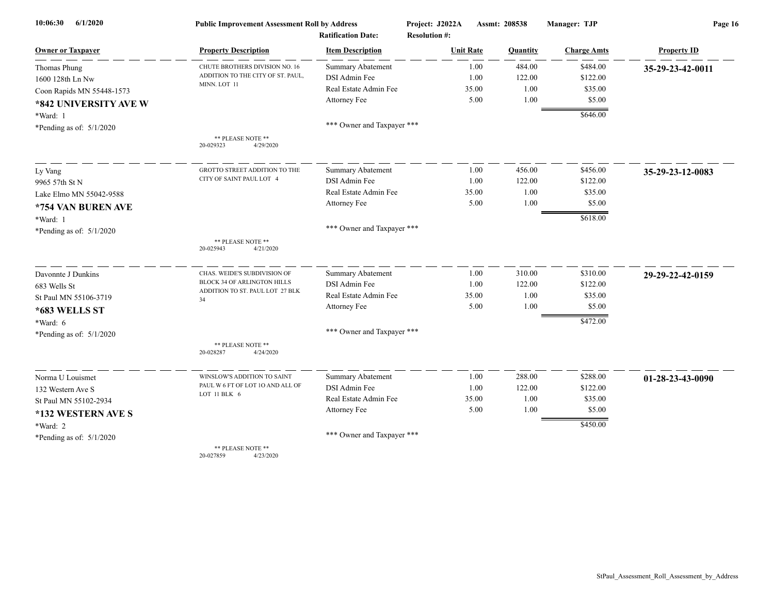| 6/1/2020<br>10:06:30       | <b>Public Improvement Assessment Roll by Address</b>           |                            | Assmt: 208538<br>Project: J2022A |          | Manager: TJP       | Page 16            |  |
|----------------------------|----------------------------------------------------------------|----------------------------|----------------------------------|----------|--------------------|--------------------|--|
|                            |                                                                | <b>Ratification Date:</b>  | <b>Resolution #:</b>             |          |                    |                    |  |
| <b>Owner or Taxpayer</b>   | <b>Property Description</b>                                    | <b>Item Description</b>    | <b>Unit Rate</b>                 | Quantity | <b>Charge Amts</b> | <b>Property ID</b> |  |
| Thomas Phung               | CHUTE BROTHERS DIVISION NO. 16                                 | Summary Abatement          | 1.00                             | 484.00   | \$484.00           | 35-29-23-42-0011   |  |
| 1600 128th Ln Nw           | ADDITION TO THE CITY OF ST. PAUL,<br>MINN. LOT 11              | DSI Admin Fee              | 1.00                             | 122.00   | \$122.00           |                    |  |
| Coon Rapids MN 55448-1573  |                                                                | Real Estate Admin Fee      | 35.00                            | 1.00     | \$35.00            |                    |  |
| *842 UNIVERSITY AVE W      |                                                                | Attorney Fee               | 5.00                             | 1.00     | \$5.00             |                    |  |
| *Ward: 1                   |                                                                |                            |                                  |          | \$646.00           |                    |  |
| *Pending as of: $5/1/2020$ |                                                                | *** Owner and Taxpayer *** |                                  |          |                    |                    |  |
|                            | ** PLEASE NOTE **<br>20-029323<br>4/29/2020                    |                            |                                  |          |                    |                    |  |
| Ly Vang                    | GROTTO STREET ADDITION TO THE                                  | <b>Summary Abatement</b>   | 1.00                             | 456.00   | \$456.00           | 35-29-23-12-0083   |  |
| 9965 57th St N             | CITY OF SAINT PAUL LOT 4                                       | DSI Admin Fee              | 1.00                             | 122.00   | \$122.00           |                    |  |
| Lake Elmo MN 55042-9588    |                                                                | Real Estate Admin Fee      | 35.00                            | 1.00     | \$35.00            |                    |  |
| *754 VAN BUREN AVE         |                                                                | Attorney Fee               | 5.00                             | 1.00     | \$5.00             |                    |  |
| *Ward: 1                   |                                                                |                            |                                  |          | \$618.00           |                    |  |
| *Pending as of: $5/1/2020$ |                                                                | *** Owner and Taxpayer *** |                                  |          |                    |                    |  |
|                            | ** PLEASE NOTE **<br>20-025943<br>4/21/2020                    |                            |                                  |          |                    |                    |  |
| Davonnte J Dunkins         | CHAS. WEIDE'S SUBDIVISION OF                                   | <b>Summary Abatement</b>   | 1.00                             | 310.00   | \$310.00           | 29-29-22-42-0159   |  |
| 683 Wells St               | BLOCK 34 OF ARLINGTON HILLS<br>ADDITION TO ST. PAUL LOT 27 BLK | DSI Admin Fee              | 1.00                             | 122.00   | \$122.00           |                    |  |
| St Paul MN 55106-3719      | 34                                                             | Real Estate Admin Fee      | 35.00                            | 1.00     | \$35.00            |                    |  |
| *683 WELLS ST              |                                                                | Attorney Fee               | 5.00                             | 1.00     | \$5.00             |                    |  |
| $*Ward: 6$                 |                                                                |                            |                                  |          | \$472.00           |                    |  |
| *Pending as of: $5/1/2020$ |                                                                | *** Owner and Taxpayer *** |                                  |          |                    |                    |  |
|                            | ** PLEASE NOTE **<br>20-028287<br>4/24/2020                    |                            |                                  |          |                    |                    |  |
| Norma U Louismet           | WINSLOW'S ADDITION TO SAINT                                    | Summary Abatement          | 1.00                             | 288.00   | \$288.00           | 01-28-23-43-0090   |  |
| 132 Western Ave S          | PAUL W 6 FT OF LOT 10 AND ALL OF                               | DSI Admin Fee              | 1.00                             | 122.00   | \$122.00           |                    |  |
| St Paul MN 55102-2934      | LOT 11 BLK 6                                                   | Real Estate Admin Fee      | 35.00                            | 1.00     | \$35.00            |                    |  |
| *132 WESTERN AVE S         |                                                                | Attorney Fee               | 5.00                             | 1.00     | \$5.00             |                    |  |
| *Ward: 2                   |                                                                |                            |                                  |          | \$450.00           |                    |  |
| *Pending as of: $5/1/2020$ |                                                                | *** Owner and Taxpayer *** |                                  |          |                    |                    |  |
|                            | ** PLEASE NOTE **                                              |                            |                                  |          |                    |                    |  |

20-027859 4/23/2020